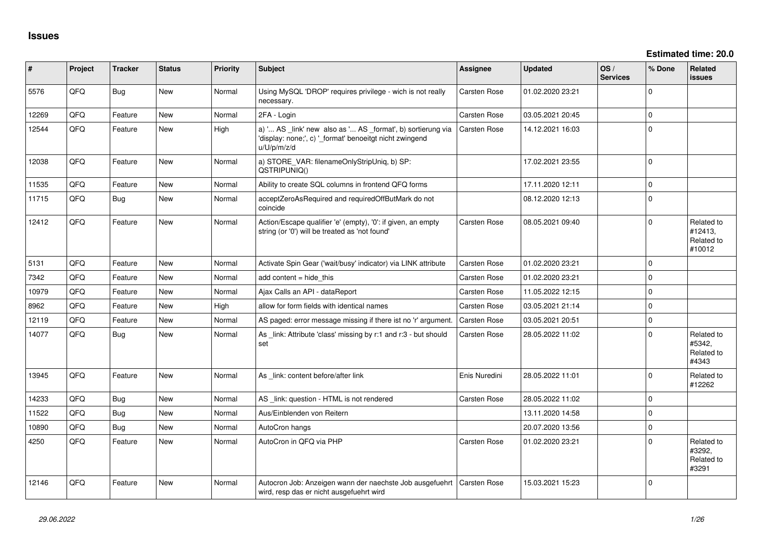| #     | Project | <b>Tracker</b> | <b>Status</b> | <b>Priority</b> | <b>Subject</b>                                                                                                                        | Assignee            | <b>Updated</b>   | OS/<br><b>Services</b> | % Done      | Related<br><b>issues</b>                      |
|-------|---------|----------------|---------------|-----------------|---------------------------------------------------------------------------------------------------------------------------------------|---------------------|------------------|------------------------|-------------|-----------------------------------------------|
| 5576  | QFQ     | <b>Bug</b>     | New           | Normal          | Using MySQL 'DROP' requires privilege - wich is not really<br>necessary.                                                              | Carsten Rose        | 01.02.2020 23:21 |                        | $\mathbf 0$ |                                               |
| 12269 | QFQ     | Feature        | <b>New</b>    | Normal          | 2FA - Login                                                                                                                           | <b>Carsten Rose</b> | 03.05.2021 20:45 |                        | $\mathbf 0$ |                                               |
| 12544 | QFQ     | Feature        | <b>New</b>    | High            | a) ' AS _link' new also as ' AS _format', b) sortierung via<br>'display: none;', c) '_format' benoeitgt nicht zwingend<br>u/U/p/m/z/d | <b>Carsten Rose</b> | 14.12.2021 16:03 |                        | $\mathbf 0$ |                                               |
| 12038 | QFQ     | Feature        | <b>New</b>    | Normal          | a) STORE_VAR: filenameOnlyStripUniq, b) SP:<br>QSTRIPUNIQ()                                                                           |                     | 17.02.2021 23:55 |                        | $\mathbf 0$ |                                               |
| 11535 | QFQ     | Feature        | <b>New</b>    | Normal          | Ability to create SQL columns in frontend QFQ forms                                                                                   |                     | 17.11.2020 12:11 |                        | $\mathbf 0$ |                                               |
| 11715 | QFQ     | <b>Bug</b>     | New           | Normal          | acceptZeroAsRequired and requiredOffButMark do not<br>coincide                                                                        |                     | 08.12.2020 12:13 |                        | $\mathbf 0$ |                                               |
| 12412 | QFQ     | Feature        | <b>New</b>    | Normal          | Action/Escape qualifier 'e' (empty), '0': if given, an empty<br>string (or '0') will be treated as 'not found'                        | <b>Carsten Rose</b> | 08.05.2021 09:40 |                        | $\mathbf 0$ | Related to<br>#12413,<br>Related to<br>#10012 |
| 5131  | QFQ     | Feature        | <b>New</b>    | Normal          | Activate Spin Gear ('wait/busy' indicator) via LINK attribute                                                                         | <b>Carsten Rose</b> | 01.02.2020 23:21 |                        | $\mathbf 0$ |                                               |
| 7342  | QFQ     | Feature        | <b>New</b>    | Normal          | add content $=$ hide this                                                                                                             | Carsten Rose        | 01.02.2020 23:21 |                        | $\Omega$    |                                               |
| 10979 | QFQ     | Feature        | <b>New</b>    | Normal          | Ajax Calls an API - dataReport                                                                                                        | <b>Carsten Rose</b> | 11.05.2022 12:15 |                        | $\mathbf 0$ |                                               |
| 8962  | QFQ     | Feature        | <b>New</b>    | High            | allow for form fields with identical names                                                                                            | <b>Carsten Rose</b> | 03.05.2021 21:14 |                        | $\mathbf 0$ |                                               |
| 12119 | QFQ     | Feature        | New           | Normal          | AS paged: error message missing if there ist no 'r' argument.                                                                         | <b>Carsten Rose</b> | 03.05.2021 20:51 |                        | $\mathbf 0$ |                                               |
| 14077 | QFQ     | Bug            | <b>New</b>    | Normal          | As _link: Attribute 'class' missing by r:1 and r:3 - but should<br>set                                                                | <b>Carsten Rose</b> | 28.05.2022 11:02 |                        | $\Omega$    | Related to<br>#5342,<br>Related to<br>#4343   |
| 13945 | QFQ     | Feature        | <b>New</b>    | Normal          | As _link: content before/after link                                                                                                   | Enis Nuredini       | 28.05.2022 11:01 |                        | $\mathbf 0$ | Related to<br>#12262                          |
| 14233 | QFQ     | Bug            | <b>New</b>    | Normal          | AS _link: question - HTML is not rendered                                                                                             | <b>Carsten Rose</b> | 28.05.2022 11:02 |                        | $\mathbf 0$ |                                               |
| 11522 | QFQ     | Bug            | <b>New</b>    | Normal          | Aus/Einblenden von Reitern                                                                                                            |                     | 13.11.2020 14:58 |                        | $\mathbf 0$ |                                               |
| 10890 | QFQ     | Bug            | <b>New</b>    | Normal          | AutoCron hangs                                                                                                                        |                     | 20.07.2020 13:56 |                        | $\mathbf 0$ |                                               |
| 4250  | QFQ     | Feature        | New           | Normal          | AutoCron in QFQ via PHP                                                                                                               | <b>Carsten Rose</b> | 01.02.2020 23:21 |                        | $\Omega$    | Related to<br>#3292,<br>Related to<br>#3291   |
| 12146 | QFQ     | Feature        | <b>New</b>    | Normal          | Autocron Job: Anzeigen wann der naechste Job ausgefuehrt<br>wird, resp das er nicht ausgefuehrt wird                                  | <b>Carsten Rose</b> | 15.03.2021 15:23 |                        | $\mathbf 0$ |                                               |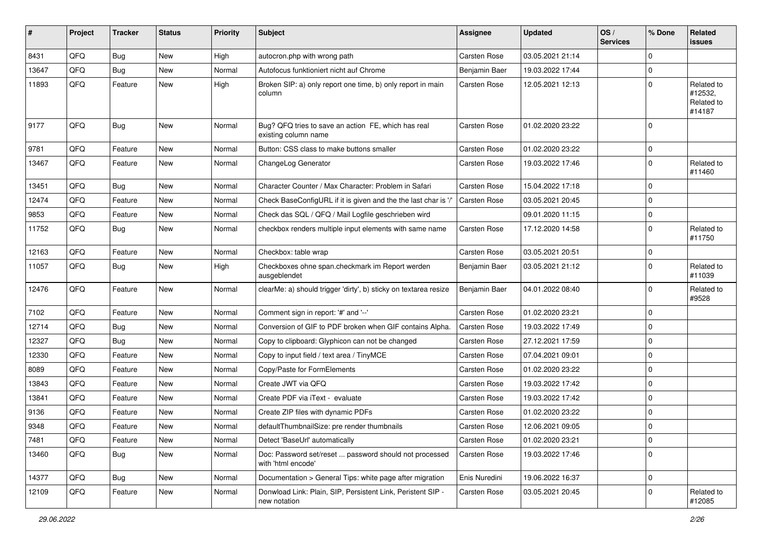| #     | Project | <b>Tracker</b> | <b>Status</b> | <b>Priority</b> | <b>Subject</b>                                                               | Assignee            | <b>Updated</b>   | OS/<br><b>Services</b> | % Done      | Related<br><b>issues</b>                      |
|-------|---------|----------------|---------------|-----------------|------------------------------------------------------------------------------|---------------------|------------------|------------------------|-------------|-----------------------------------------------|
| 8431  | QFQ     | <b>Bug</b>     | <b>New</b>    | High            | autocron.php with wrong path                                                 | Carsten Rose        | 03.05.2021 21:14 |                        | $\mathbf 0$ |                                               |
| 13647 | QFQ     | Bug            | <b>New</b>    | Normal          | Autofocus funktioniert nicht auf Chrome                                      | Benjamin Baer       | 19.03.2022 17:44 |                        | 0           |                                               |
| 11893 | QFQ     | Feature        | New           | High            | Broken SIP: a) only report one time, b) only report in main<br>column        | Carsten Rose        | 12.05.2021 12:13 |                        | $\mathbf 0$ | Related to<br>#12532,<br>Related to<br>#14187 |
| 9177  | QFQ     | Bug            | <b>New</b>    | Normal          | Bug? QFQ tries to save an action FE, which has real<br>existing column name  | <b>Carsten Rose</b> | 01.02.2020 23:22 |                        | $\mathbf 0$ |                                               |
| 9781  | QFQ     | Feature        | <b>New</b>    | Normal          | Button: CSS class to make buttons smaller                                    | <b>Carsten Rose</b> | 01.02.2020 23:22 |                        | $\mathbf 0$ |                                               |
| 13467 | QFQ     | Feature        | New           | Normal          | ChangeLog Generator                                                          | Carsten Rose        | 19.03.2022 17:46 |                        | 0           | Related to<br>#11460                          |
| 13451 | QFQ     | Bug            | <b>New</b>    | Normal          | Character Counter / Max Character: Problem in Safari                         | <b>Carsten Rose</b> | 15.04.2022 17:18 |                        | 0           |                                               |
| 12474 | QFQ     | Feature        | <b>New</b>    | Normal          | Check BaseConfigURL if it is given and the the last char is '/'              | <b>Carsten Rose</b> | 03.05.2021 20:45 |                        | $\mathbf 0$ |                                               |
| 9853  | QFQ     | Feature        | New           | Normal          | Check das SQL / QFQ / Mail Logfile geschrieben wird                          |                     | 09.01.2020 11:15 |                        | $\mathbf 0$ |                                               |
| 11752 | QFQ     | Bug            | <b>New</b>    | Normal          | checkbox renders multiple input elements with same name                      | Carsten Rose        | 17.12.2020 14:58 |                        | $\mathbf 0$ | Related to<br>#11750                          |
| 12163 | QFQ     | Feature        | <b>New</b>    | Normal          | Checkbox: table wrap                                                         | <b>Carsten Rose</b> | 03.05.2021 20:51 |                        | $\mathbf 0$ |                                               |
| 11057 | QFQ     | <b>Bug</b>     | New           | High            | Checkboxes ohne span.checkmark im Report werden<br>ausgeblendet              | Benjamin Baer       | 03.05.2021 21:12 |                        | 0           | Related to<br>#11039                          |
| 12476 | QFQ     | Feature        | <b>New</b>    | Normal          | clearMe: a) should trigger 'dirty', b) sticky on textarea resize             | Benjamin Baer       | 04.01.2022 08:40 |                        | $\mathbf 0$ | Related to<br>#9528                           |
| 7102  | QFQ     | Feature        | <b>New</b>    | Normal          | Comment sign in report: '#' and '--'                                         | Carsten Rose        | 01.02.2020 23:21 |                        | $\mathbf 0$ |                                               |
| 12714 | QFQ     | Bug            | <b>New</b>    | Normal          | Conversion of GIF to PDF broken when GIF contains Alpha.                     | Carsten Rose        | 19.03.2022 17:49 |                        | $\mathbf 0$ |                                               |
| 12327 | QFQ     | <b>Bug</b>     | <b>New</b>    | Normal          | Copy to clipboard: Glyphicon can not be changed                              | Carsten Rose        | 27.12.2021 17:59 |                        | 0           |                                               |
| 12330 | QFQ     | Feature        | New           | Normal          | Copy to input field / text area / TinyMCE                                    | Carsten Rose        | 07.04.2021 09:01 |                        | $\mathbf 0$ |                                               |
| 8089  | QFQ     | Feature        | New           | Normal          | Copy/Paste for FormElements                                                  | Carsten Rose        | 01.02.2020 23:22 |                        | 0           |                                               |
| 13843 | QFQ     | Feature        | New           | Normal          | Create JWT via QFQ                                                           | Carsten Rose        | 19.03.2022 17:42 |                        | $\mathbf 0$ |                                               |
| 13841 | QFQ     | Feature        | New           | Normal          | Create PDF via iText - evaluate                                              | Carsten Rose        | 19.03.2022 17:42 |                        | 0           |                                               |
| 9136  | QFQ     | Feature        | New           | Normal          | Create ZIP files with dynamic PDFs                                           | Carsten Rose        | 01.02.2020 23:22 |                        | 0           |                                               |
| 9348  | QFQ     | Feature        | New           | Normal          | defaultThumbnailSize: pre render thumbnails                                  | <b>Carsten Rose</b> | 12.06.2021 09:05 |                        | $\mathbf 0$ |                                               |
| 7481  | QFQ     | Feature        | New           | Normal          | Detect 'BaseUrl' automatically                                               | Carsten Rose        | 01.02.2020 23:21 |                        | $\mathbf 0$ |                                               |
| 13460 | QFQ     | Bug            | New           | Normal          | Doc: Password set/reset  password should not processed<br>with 'html encode' | Carsten Rose        | 19.03.2022 17:46 |                        | $\mathbf 0$ |                                               |
| 14377 | QFQ     | Bug            | New           | Normal          | Documentation > General Tips: white page after migration                     | Enis Nuredini       | 19.06.2022 16:37 |                        | $\mathbf 0$ |                                               |
| 12109 | QFQ     | Feature        | New           | Normal          | Donwload Link: Plain, SIP, Persistent Link, Peristent SIP -<br>new notation  | Carsten Rose        | 03.05.2021 20:45 |                        | $\mathbf 0$ | Related to<br>#12085                          |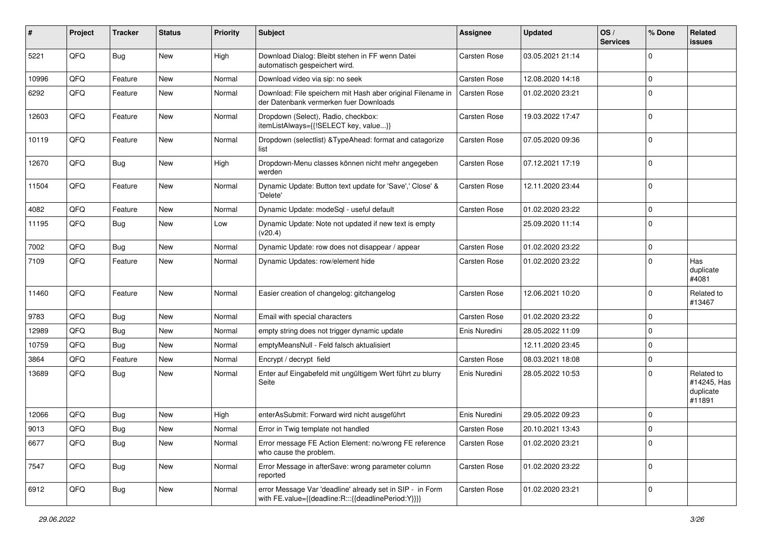| #     | Project | <b>Tracker</b> | <b>Status</b> | <b>Priority</b> | <b>Subject</b>                                                                                                   | <b>Assignee</b>     | <b>Updated</b>   | OS/<br><b>Services</b> | % Done      | Related<br>issues                                |
|-------|---------|----------------|---------------|-----------------|------------------------------------------------------------------------------------------------------------------|---------------------|------------------|------------------------|-------------|--------------------------------------------------|
| 5221  | QFQ     | Bug            | <b>New</b>    | High            | Download Dialog: Bleibt stehen in FF wenn Datei<br>automatisch gespeichert wird.                                 | <b>Carsten Rose</b> | 03.05.2021 21:14 |                        | $\Omega$    |                                                  |
| 10996 | QFQ     | Feature        | New           | Normal          | Download video via sip: no seek                                                                                  | Carsten Rose        | 12.08.2020 14:18 |                        | $\mathbf 0$ |                                                  |
| 6292  | QFQ     | Feature        | New           | Normal          | Download: File speichern mit Hash aber original Filename in<br>der Datenbank vermerken fuer Downloads            | Carsten Rose        | 01.02.2020 23:21 |                        | $\mathbf 0$ |                                                  |
| 12603 | QFQ     | Feature        | New           | Normal          | Dropdown (Select), Radio, checkbox:<br>itemListAlways={{!SELECT key, value}}                                     | Carsten Rose        | 19.03.2022 17:47 |                        | $\mathbf 0$ |                                                  |
| 10119 | QFQ     | Feature        | New           | Normal          | Dropdown (selectlist) & TypeAhead: format and catagorize<br>list                                                 | Carsten Rose        | 07.05.2020 09:36 |                        | $\mathbf 0$ |                                                  |
| 12670 | QFQ     | Bug            | New           | High            | Dropdown-Menu classes können nicht mehr angegeben<br>werden                                                      | Carsten Rose        | 07.12.2021 17:19 |                        | $\mathbf 0$ |                                                  |
| 11504 | QFQ     | Feature        | New           | Normal          | Dynamic Update: Button text update for 'Save',' Close' &<br>'Delete'                                             | Carsten Rose        | 12.11.2020 23:44 |                        | 0           |                                                  |
| 4082  | QFQ     | Feature        | New           | Normal          | Dynamic Update: modeSql - useful default                                                                         | Carsten Rose        | 01.02.2020 23:22 |                        | $\mathbf 0$ |                                                  |
| 11195 | QFQ     | Bug            | New           | Low             | Dynamic Update: Note not updated if new text is empty<br>(v20.4)                                                 |                     | 25.09.2020 11:14 |                        | $\mathbf 0$ |                                                  |
| 7002  | QFQ     | <b>Bug</b>     | New           | Normal          | Dynamic Update: row does not disappear / appear                                                                  | Carsten Rose        | 01.02.2020 23:22 |                        | $\mathbf 0$ |                                                  |
| 7109  | QFQ     | Feature        | New           | Normal          | Dynamic Updates: row/element hide                                                                                | Carsten Rose        | 01.02.2020 23:22 |                        | $\mathbf 0$ | Has<br>duplicate<br>#4081                        |
| 11460 | QFQ     | Feature        | New           | Normal          | Easier creation of changelog: gitchangelog                                                                       | Carsten Rose        | 12.06.2021 10:20 |                        | $\mathbf 0$ | Related to<br>#13467                             |
| 9783  | QFQ     | <b>Bug</b>     | New           | Normal          | Email with special characters                                                                                    | Carsten Rose        | 01.02.2020 23:22 |                        | $\mathbf 0$ |                                                  |
| 12989 | QFQ     | <b>Bug</b>     | <b>New</b>    | Normal          | empty string does not trigger dynamic update                                                                     | Enis Nuredini       | 28.05.2022 11:09 |                        | 0           |                                                  |
| 10759 | QFQ     | <b>Bug</b>     | <b>New</b>    | Normal          | emptyMeansNull - Feld falsch aktualisiert                                                                        |                     | 12.11.2020 23:45 |                        | $\mathbf 0$ |                                                  |
| 3864  | QFQ     | Feature        | New           | Normal          | Encrypt / decrypt field                                                                                          | Carsten Rose        | 08.03.2021 18:08 |                        | $\mathbf 0$ |                                                  |
| 13689 | QFQ     | Bug            | New           | Normal          | Enter auf Eingabefeld mit ungültigem Wert führt zu blurry<br>Seite                                               | Enis Nuredini       | 28.05.2022 10:53 |                        | $\Omega$    | Related to<br>#14245, Has<br>duplicate<br>#11891 |
| 12066 | QFQ     | <b>Bug</b>     | <b>New</b>    | High            | enterAsSubmit: Forward wird nicht ausgeführt                                                                     | Enis Nuredini       | 29.05.2022 09:23 |                        | $\mathbf 0$ |                                                  |
| 9013  | QFQ     | Bug            | New           | Normal          | Error in Twig template not handled                                                                               | <b>Carsten Rose</b> | 20.10.2021 13:43 |                        | $\Omega$    |                                                  |
| 6677  | QFQ     | Bug            | <b>New</b>    | Normal          | Error message FE Action Element: no/wrong FE reference<br>who cause the problem.                                 | Carsten Rose        | 01.02.2020 23:21 |                        | $\mathbf 0$ |                                                  |
| 7547  | QFQ     | Bug            | New           | Normal          | Error Message in afterSave: wrong parameter column<br>reported                                                   | Carsten Rose        | 01.02.2020 23:22 |                        | $\mathbf 0$ |                                                  |
| 6912  | QFQ     | <b>Bug</b>     | New           | Normal          | error Message Var 'deadline' already set in SIP - in Form<br>with FE.value={{deadline:R:::{{deadlinePeriod:Y}}}} | Carsten Rose        | 01.02.2020 23:21 |                        | $\mathbf 0$ |                                                  |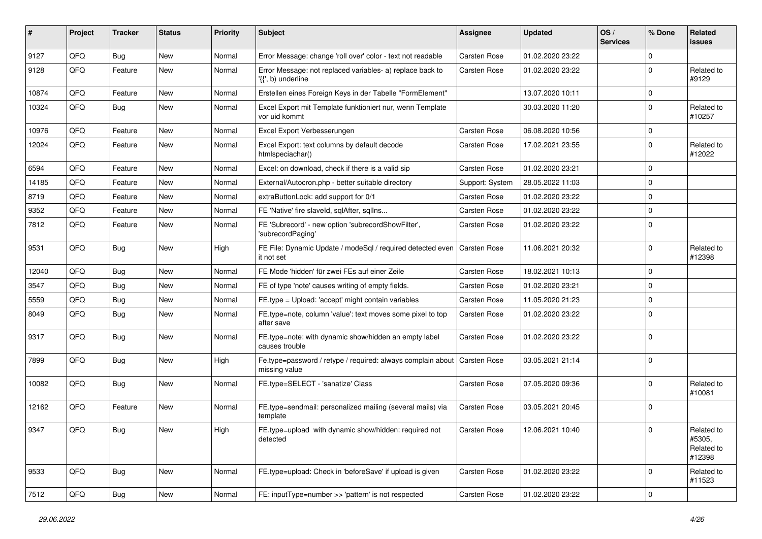| ∦     | Project | <b>Tracker</b> | <b>Status</b> | <b>Priority</b> | <b>Subject</b>                                                                  | <b>Assignee</b> | <b>Updated</b>   | OS/<br><b>Services</b> | % Done      | Related<br>issues                            |
|-------|---------|----------------|---------------|-----------------|---------------------------------------------------------------------------------|-----------------|------------------|------------------------|-------------|----------------------------------------------|
| 9127  | QFQ     | <b>Bug</b>     | <b>New</b>    | Normal          | Error Message: change 'roll over' color - text not readable                     | Carsten Rose    | 01.02.2020 23:22 |                        | $\Omega$    |                                              |
| 9128  | QFQ     | Feature        | New           | Normal          | Error Message: not replaced variables- a) replace back to<br>'{{', b) underline | Carsten Rose    | 01.02.2020 23:22 |                        | $\Omega$    | Related to<br>#9129                          |
| 10874 | QFQ     | Feature        | <b>New</b>    | Normal          | Erstellen eines Foreign Keys in der Tabelle "FormElement"                       |                 | 13.07.2020 10:11 |                        | $\Omega$    |                                              |
| 10324 | QFQ     | <b>Bug</b>     | New           | Normal          | Excel Export mit Template funktioniert nur, wenn Template<br>vor uid kommt      |                 | 30.03.2020 11:20 |                        | $\Omega$    | Related to<br>#10257                         |
| 10976 | QFQ     | Feature        | <b>New</b>    | Normal          | Excel Export Verbesserungen                                                     | Carsten Rose    | 06.08.2020 10:56 |                        | $\Omega$    |                                              |
| 12024 | QFQ     | Feature        | New           | Normal          | Excel Export: text columns by default decode<br>htmlspeciachar()                | Carsten Rose    | 17.02.2021 23:55 |                        | $\Omega$    | Related to<br>#12022                         |
| 6594  | QFQ     | Feature        | New           | Normal          | Excel: on download, check if there is a valid sip                               | Carsten Rose    | 01.02.2020 23:21 |                        | $\mathbf 0$ |                                              |
| 14185 | QFQ     | Feature        | New           | Normal          | External/Autocron.php - better suitable directory                               | Support: System | 28.05.2022 11:03 |                        | $\Omega$    |                                              |
| 8719  | QFQ     | Feature        | <b>New</b>    | Normal          | extraButtonLock: add support for 0/1                                            | Carsten Rose    | 01.02.2020 23:22 |                        | $\Omega$    |                                              |
| 9352  | QFQ     | Feature        | New           | Normal          | FE 'Native' fire slaveld, sqlAfter, sqlIns                                      | Carsten Rose    | 01.02.2020 23:22 |                        | $\Omega$    |                                              |
| 7812  | QFQ     | Feature        | New           | Normal          | FE 'Subrecord' - new option 'subrecordShowFilter',<br>'subrecordPaging'         | Carsten Rose    | 01.02.2020 23:22 |                        | $\Omega$    |                                              |
| 9531  | QFQ     | Bug            | <b>New</b>    | High            | FE File: Dynamic Update / modeSql / required detected even<br>it not set        | Carsten Rose    | 11.06.2021 20:32 |                        | $\Omega$    | Related to<br>#12398                         |
| 12040 | QFQ     | Bug            | New           | Normal          | FE Mode 'hidden' für zwei FEs auf einer Zeile                                   | Carsten Rose    | 18.02.2021 10:13 |                        | $\mathbf 0$ |                                              |
| 3547  | QFQ     | Bug            | <b>New</b>    | Normal          | FE of type 'note' causes writing of empty fields.                               | Carsten Rose    | 01.02.2020 23:21 |                        | $\Omega$    |                                              |
| 5559  | QFQ     | <b>Bug</b>     | <b>New</b>    | Normal          | FE.type = Upload: 'accept' might contain variables                              | Carsten Rose    | 11.05.2020 21:23 |                        | $\Omega$    |                                              |
| 8049  | QFQ     | <b>Bug</b>     | New           | Normal          | FE.type=note, column 'value': text moves some pixel to top<br>after save        | Carsten Rose    | 01.02.2020 23:22 |                        | $\Omega$    |                                              |
| 9317  | QFQ     | Bug            | New           | Normal          | FE.type=note: with dynamic show/hidden an empty label<br>causes trouble         | Carsten Rose    | 01.02.2020 23:22 |                        | $\Omega$    |                                              |
| 7899  | QFQ     | Bug            | New           | High            | Fe.type=password / retype / required: always complain about<br>missing value    | Carsten Rose    | 03.05.2021 21:14 |                        | $\Omega$    |                                              |
| 10082 | QFQ     | Bug            | <b>New</b>    | Normal          | FE.type=SELECT - 'sanatize' Class                                               | Carsten Rose    | 07.05.2020 09:36 |                        | $\Omega$    | Related to<br>#10081                         |
| 12162 | QFQ     | Feature        | New           | Normal          | FE.type=sendmail: personalized mailing (several mails) via<br>template          | Carsten Rose    | 03.05.2021 20:45 |                        | $\Omega$    |                                              |
| 9347  | QFQ     | Bug            | New           | High            | FE.type=upload with dynamic show/hidden: required not<br>detected               | Carsten Rose    | 12.06.2021 10:40 |                        | $\Omega$    | Related to<br>#5305,<br>Related to<br>#12398 |
| 9533  | QFQ     | <b>Bug</b>     | New           | Normal          | FE.type=upload: Check in 'beforeSave' if upload is given                        | Carsten Rose    | 01.02.2020 23:22 |                        | $\mathbf 0$ | Related to<br>#11523                         |
| 7512  | QFQ     | <b>Bug</b>     | New           | Normal          | FE: inputType=number >> 'pattern' is not respected                              | Carsten Rose    | 01.02.2020 23:22 |                        | $\pmb{0}$   |                                              |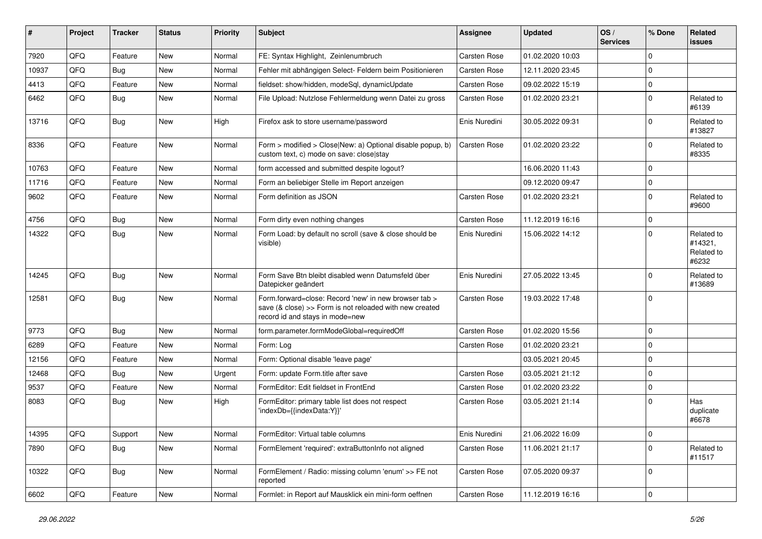| ∦     | Project | <b>Tracker</b> | <b>Status</b> | <b>Priority</b> | Subject                                                                                                                                             | <b>Assignee</b> | <b>Updated</b>   | OS/<br><b>Services</b> | % Done      | <b>Related</b><br>issues                     |
|-------|---------|----------------|---------------|-----------------|-----------------------------------------------------------------------------------------------------------------------------------------------------|-----------------|------------------|------------------------|-------------|----------------------------------------------|
| 7920  | QFQ     | Feature        | New           | Normal          | FE: Syntax Highlight, Zeinlenumbruch                                                                                                                | Carsten Rose    | 01.02.2020 10:03 |                        | $\Omega$    |                                              |
| 10937 | QFQ     | Bug            | New           | Normal          | Fehler mit abhängigen Select- Feldern beim Positionieren                                                                                            | Carsten Rose    | 12.11.2020 23:45 |                        | $\Omega$    |                                              |
| 4413  | QFQ     | Feature        | New           | Normal          | fieldset: show/hidden, modeSql, dynamicUpdate                                                                                                       | Carsten Rose    | 09.02.2022 15:19 |                        | $\Omega$    |                                              |
| 6462  | QFQ     | Bug            | New           | Normal          | File Upload: Nutzlose Fehlermeldung wenn Datei zu gross                                                                                             | Carsten Rose    | 01.02.2020 23:21 |                        | $\Omega$    | Related to<br>#6139                          |
| 13716 | QFQ     | Bug            | <b>New</b>    | High            | Firefox ask to store username/password                                                                                                              | Enis Nuredini   | 30.05.2022 09:31 |                        | $\Omega$    | Related to<br>#13827                         |
| 8336  | QFQ     | Feature        | <b>New</b>    | Normal          | Form > modified > Close New: a) Optional disable popup, b)<br>custom text, c) mode on save: closelstay                                              | Carsten Rose    | 01.02.2020 23:22 |                        | $\Omega$    | Related to<br>#8335                          |
| 10763 | QFQ     | Feature        | New           | Normal          | form accessed and submitted despite logout?                                                                                                         |                 | 16.06.2020 11:43 |                        | $\Omega$    |                                              |
| 11716 | QFQ     | Feature        | New           | Normal          | Form an beliebiger Stelle im Report anzeigen                                                                                                        |                 | 09.12.2020 09:47 |                        | $\Omega$    |                                              |
| 9602  | QFQ     | Feature        | <b>New</b>    | Normal          | Form definition as JSON                                                                                                                             | Carsten Rose    | 01.02.2020 23:21 |                        | $\Omega$    | Related to<br>#9600                          |
| 4756  | QFQ     | Bug            | New           | Normal          | Form dirty even nothing changes                                                                                                                     | Carsten Rose    | 11.12.2019 16:16 |                        | $\Omega$    |                                              |
| 14322 | QFQ     | <b>Bug</b>     | New           | Normal          | Form Load: by default no scroll (save & close should be<br>visible)                                                                                 | Enis Nuredini   | 15.06.2022 14:12 |                        | $\Omega$    | Related to<br>#14321,<br>Related to<br>#6232 |
| 14245 | QFQ     | Bug            | <b>New</b>    | Normal          | Form Save Btn bleibt disabled wenn Datumsfeld über<br>Datepicker geändert                                                                           | Enis Nuredini   | 27.05.2022 13:45 |                        | $\Omega$    | Related to<br>#13689                         |
| 12581 | QFQ     | <b>Bug</b>     | New           | Normal          | Form.forward=close: Record 'new' in new browser tab ><br>save (& close) >> Form is not reloaded with new created<br>record id and stays in mode=new | Carsten Rose    | 19.03.2022 17:48 |                        | $\Omega$    |                                              |
| 9773  | QFQ     | Bug            | New           | Normal          | form.parameter.formModeGlobal=requiredOff                                                                                                           | Carsten Rose    | 01.02.2020 15:56 |                        | $\mathbf 0$ |                                              |
| 6289  | QFQ     | Feature        | New           | Normal          | Form: Log                                                                                                                                           | Carsten Rose    | 01.02.2020 23:21 |                        | $\Omega$    |                                              |
| 12156 | QFQ     | Feature        | <b>New</b>    | Normal          | Form: Optional disable 'leave page'                                                                                                                 |                 | 03.05.2021 20:45 |                        | $\mathbf 0$ |                                              |
| 12468 | QFQ     | Bug            | New           | Urgent          | Form: update Form.title after save                                                                                                                  | Carsten Rose    | 03.05.2021 21:12 |                        | $\Omega$    |                                              |
| 9537  | QFQ     | Feature        | New           | Normal          | FormEditor: Edit fieldset in FrontEnd                                                                                                               | Carsten Rose    | 01.02.2020 23:22 |                        | $\Omega$    |                                              |
| 8083  | QFQ     | Bug            | New           | High            | FormEditor: primary table list does not respect<br>'indexDb={{indexData:Y}}'                                                                        | Carsten Rose    | 03.05.2021 21:14 |                        | $\Omega$    | Has<br>duplicate<br>#6678                    |
| 14395 | QFQ     | Support        | New           | Normal          | FormEditor: Virtual table columns                                                                                                                   | Enis Nuredini   | 21.06.2022 16:09 |                        | 0           |                                              |
| 7890  | QFQ     | <b>Bug</b>     | New           | Normal          | FormElement 'required': extraButtonInfo not aligned                                                                                                 | Carsten Rose    | 11.06.2021 21:17 |                        | 0           | Related to<br>#11517                         |
| 10322 | QFQ     | <b>Bug</b>     | New           | Normal          | FormElement / Radio: missing column 'enum' >> FE not<br>reported                                                                                    | Carsten Rose    | 07.05.2020 09:37 |                        | $\mathbf 0$ |                                              |
| 6602  | QFG     | Feature        | New           | Normal          | Formlet: in Report auf Mausklick ein mini-form oeffnen                                                                                              | Carsten Rose    | 11.12.2019 16:16 |                        | $\pmb{0}$   |                                              |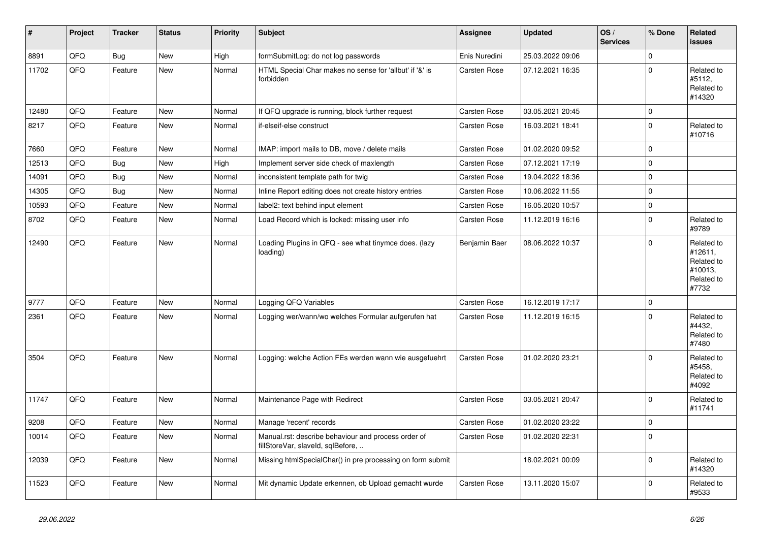| #     | Project | <b>Tracker</b> | <b>Status</b> | <b>Priority</b> | <b>Subject</b>                                                                           | Assignee            | <b>Updated</b>   | OS/<br><b>Services</b> | % Done         | <b>Related</b><br><b>issues</b>                                       |
|-------|---------|----------------|---------------|-----------------|------------------------------------------------------------------------------------------|---------------------|------------------|------------------------|----------------|-----------------------------------------------------------------------|
| 8891  | QFQ     | Bug            | <b>New</b>    | High            | formSubmitLog: do not log passwords                                                      | Enis Nuredini       | 25.03.2022 09:06 |                        | 0              |                                                                       |
| 11702 | QFQ     | Feature        | <b>New</b>    | Normal          | HTML Special Char makes no sense for 'allbut' if '&' is<br>forbidden                     | Carsten Rose        | 07.12.2021 16:35 |                        | $\Omega$       | Related to<br>#5112,<br>Related to<br>#14320                          |
| 12480 | QFQ     | Feature        | <b>New</b>    | Normal          | If QFQ upgrade is running, block further request                                         | <b>Carsten Rose</b> | 03.05.2021 20:45 |                        | 0              |                                                                       |
| 8217  | QFQ     | Feature        | <b>New</b>    | Normal          | if-elseif-else construct                                                                 | Carsten Rose        | 16.03.2021 18:41 |                        | $\Omega$       | Related to<br>#10716                                                  |
| 7660  | QFQ     | Feature        | <b>New</b>    | Normal          | IMAP: import mails to DB, move / delete mails                                            | Carsten Rose        | 01.02.2020 09:52 |                        | 0              |                                                                       |
| 12513 | QFQ     | <b>Bug</b>     | <b>New</b>    | High            | Implement server side check of maxlength                                                 | Carsten Rose        | 07.12.2021 17:19 |                        | $\Omega$       |                                                                       |
| 14091 | QFQ     | <b>Bug</b>     | <b>New</b>    | Normal          | inconsistent template path for twig                                                      | Carsten Rose        | 19.04.2022 18:36 |                        | 0              |                                                                       |
| 14305 | QFQ     | <b>Bug</b>     | New           | Normal          | Inline Report editing does not create history entries                                    | Carsten Rose        | 10.06.2022 11:55 |                        | 0              |                                                                       |
| 10593 | QFQ     | Feature        | <b>New</b>    | Normal          | label2: text behind input element                                                        | Carsten Rose        | 16.05.2020 10:57 |                        | 0              |                                                                       |
| 8702  | QFQ     | Feature        | <b>New</b>    | Normal          | Load Record which is locked: missing user info                                           | Carsten Rose        | 11.12.2019 16:16 |                        | $\Omega$       | Related to<br>#9789                                                   |
| 12490 | QFQ     | Feature        | <b>New</b>    | Normal          | Loading Plugins in QFQ - see what tinymce does. (lazy<br>loading)                        | Benjamin Baer       | 08.06.2022 10:37 |                        | 0              | Related to<br>#12611,<br>Related to<br>#10013.<br>Related to<br>#7732 |
| 9777  | QFQ     | Feature        | <b>New</b>    | Normal          | Logging QFQ Variables                                                                    | Carsten Rose        | 16.12.2019 17:17 |                        | $\pmb{0}$      |                                                                       |
| 2361  | QFQ     | Feature        | <b>New</b>    | Normal          | Logging wer/wann/wo welches Formular aufgerufen hat                                      | Carsten Rose        | 11.12.2019 16:15 |                        | $\Omega$       | Related to<br>#4432.<br>Related to<br>#7480                           |
| 3504  | QFQ     | Feature        | New           | Normal          | Logging: welche Action FEs werden wann wie ausgefuehrt                                   | Carsten Rose        | 01.02.2020 23:21 |                        | $\Omega$       | Related to<br>#5458,<br>Related to<br>#4092                           |
| 11747 | QFQ     | Feature        | <b>New</b>    | Normal          | Maintenance Page with Redirect                                                           | Carsten Rose        | 03.05.2021 20:47 |                        | $\Omega$       | Related to<br>#11741                                                  |
| 9208  | QFQ     | Feature        | <b>New</b>    | Normal          | Manage 'recent' records                                                                  | Carsten Rose        | 01.02.2020 23:22 |                        | 0              |                                                                       |
| 10014 | QFQ     | Feature        | New           | Normal          | Manual.rst: describe behaviour and process order of<br>fillStoreVar, slaveld, sqlBefore, | Carsten Rose        | 01.02.2020 22:31 |                        | $\overline{0}$ |                                                                       |
| 12039 | QFQ     | Feature        | <b>New</b>    | Normal          | Missing htmlSpecialChar() in pre processing on form submit                               |                     | 18.02.2021 00:09 |                        | $\Omega$       | Related to<br>#14320                                                  |
| 11523 | QFQ     | Feature        | <b>New</b>    | Normal          | Mit dynamic Update erkennen, ob Upload gemacht wurde                                     | Carsten Rose        | 13.11.2020 15:07 |                        | $\Omega$       | Related to<br>#9533                                                   |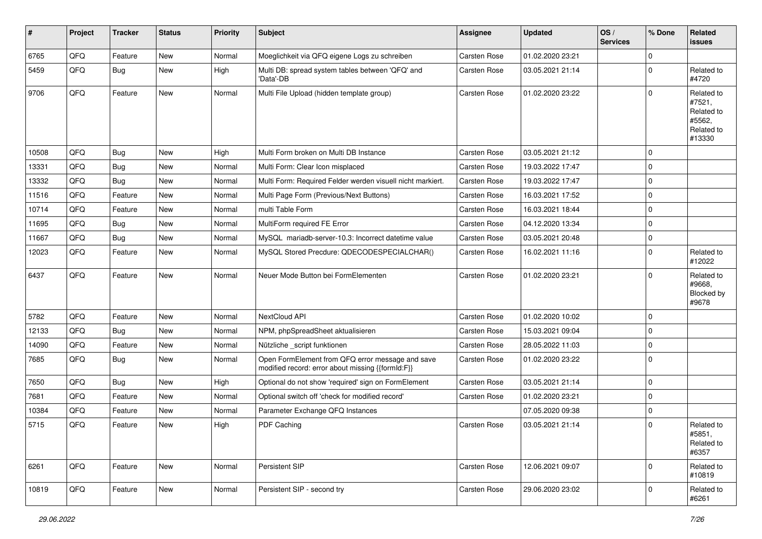| #     | Project | <b>Tracker</b> | <b>Status</b> | <b>Priority</b> | <b>Subject</b>                                                                                        | Assignee            | <b>Updated</b>   | OS/<br><b>Services</b> | % Done      | Related<br><b>issues</b>                                             |
|-------|---------|----------------|---------------|-----------------|-------------------------------------------------------------------------------------------------------|---------------------|------------------|------------------------|-------------|----------------------------------------------------------------------|
| 6765  | QFQ     | Feature        | <b>New</b>    | Normal          | Moeglichkeit via QFQ eigene Logs zu schreiben                                                         | Carsten Rose        | 01.02.2020 23:21 |                        | $\mathbf 0$ |                                                                      |
| 5459  | QFQ     | Bug            | <b>New</b>    | High            | Multi DB: spread system tables between 'QFQ' and<br>'Data'-DB                                         | Carsten Rose        | 03.05.2021 21:14 |                        | $\mathbf 0$ | Related to<br>#4720                                                  |
| 9706  | QFQ     | Feature        | <b>New</b>    | Normal          | Multi File Upload (hidden template group)                                                             | <b>Carsten Rose</b> | 01.02.2020 23:22 |                        | $\mathbf 0$ | Related to<br>#7521,<br>Related to<br>#5562,<br>Related to<br>#13330 |
| 10508 | QFQ     | Bug            | New           | High            | Multi Form broken on Multi DB Instance                                                                | <b>Carsten Rose</b> | 03.05.2021 21:12 |                        | $\mathbf 0$ |                                                                      |
| 13331 | QFQ     | Bug            | <b>New</b>    | Normal          | Multi Form: Clear Icon misplaced                                                                      | <b>Carsten Rose</b> | 19.03.2022 17:47 |                        | $\mathbf 0$ |                                                                      |
| 13332 | QFQ     | Bug            | <b>New</b>    | Normal          | Multi Form: Required Felder werden visuell nicht markiert.                                            | <b>Carsten Rose</b> | 19.03.2022 17:47 |                        | 0           |                                                                      |
| 11516 | QFQ     | Feature        | <b>New</b>    | Normal          | Multi Page Form (Previous/Next Buttons)                                                               | <b>Carsten Rose</b> | 16.03.2021 17:52 |                        | $\mathbf 0$ |                                                                      |
| 10714 | QFQ     | Feature        | New           | Normal          | multi Table Form                                                                                      | Carsten Rose        | 16.03.2021 18:44 |                        | $\mathbf 0$ |                                                                      |
| 11695 | QFQ     | <b>Bug</b>     | New           | Normal          | MultiForm required FE Error                                                                           | <b>Carsten Rose</b> | 04.12.2020 13:34 |                        | $\mathbf 0$ |                                                                      |
| 11667 | QFQ     | Bug            | New           | Normal          | MySQL mariadb-server-10.3: Incorrect datetime value                                                   | Carsten Rose        | 03.05.2021 20:48 |                        | $\mathbf 0$ |                                                                      |
| 12023 | QFQ     | Feature        | New           | Normal          | MySQL Stored Precdure: QDECODESPECIALCHAR()                                                           | Carsten Rose        | 16.02.2021 11:16 |                        | $\mathbf 0$ | Related to<br>#12022                                                 |
| 6437  | QFQ     | Feature        | <b>New</b>    | Normal          | Neuer Mode Button bei FormElementen                                                                   | <b>Carsten Rose</b> | 01.02.2020 23:21 |                        | $\mathbf 0$ | Related to<br>#9668.<br>Blocked by<br>#9678                          |
| 5782  | QFQ     | Feature        | <b>New</b>    | Normal          | NextCloud API                                                                                         | <b>Carsten Rose</b> | 01.02.2020 10:02 |                        | $\mathbf 0$ |                                                                      |
| 12133 | QFQ     | Bug            | New           | Normal          | NPM, phpSpreadSheet aktualisieren                                                                     | <b>Carsten Rose</b> | 15.03.2021 09:04 |                        | $\mathbf 0$ |                                                                      |
| 14090 | QFQ     | Feature        | <b>New</b>    | Normal          | Nützliche _script funktionen                                                                          | <b>Carsten Rose</b> | 28.05.2022 11:03 |                        | $\mathbf 0$ |                                                                      |
| 7685  | QFQ     | Bug            | New           | Normal          | Open FormElement from QFQ error message and save<br>modified record: error about missing {{formId:F}} | <b>Carsten Rose</b> | 01.02.2020 23:22 |                        | $\mathbf 0$ |                                                                      |
| 7650  | QFQ     | Bug            | <b>New</b>    | High            | Optional do not show 'required' sign on FormElement                                                   | <b>Carsten Rose</b> | 03.05.2021 21:14 |                        | $\mathbf 0$ |                                                                      |
| 7681  | QFQ     | Feature        | New           | Normal          | Optional switch off 'check for modified record'                                                       | Carsten Rose        | 01.02.2020 23:21 |                        | 0           |                                                                      |
| 10384 | QFQ     | Feature        | New           | Normal          | Parameter Exchange QFQ Instances                                                                      |                     | 07.05.2020 09:38 |                        | $\mathbf 0$ |                                                                      |
| 5715  | QFQ     | Feature        | New           | High            | PDF Caching                                                                                           | <b>Carsten Rose</b> | 03.05.2021 21:14 |                        | $\mathbf 0$ | Related to<br>#5851,<br>Related to<br>#6357                          |
| 6261  | QFQ     | Feature        | <b>New</b>    | Normal          | Persistent SIP                                                                                        | <b>Carsten Rose</b> | 12.06.2021 09:07 |                        | $\mathbf 0$ | Related to<br>#10819                                                 |
| 10819 | QFQ     | Feature        | <b>New</b>    | Normal          | Persistent SIP - second try                                                                           | <b>Carsten Rose</b> | 29.06.2020 23:02 |                        | 0           | Related to<br>#6261                                                  |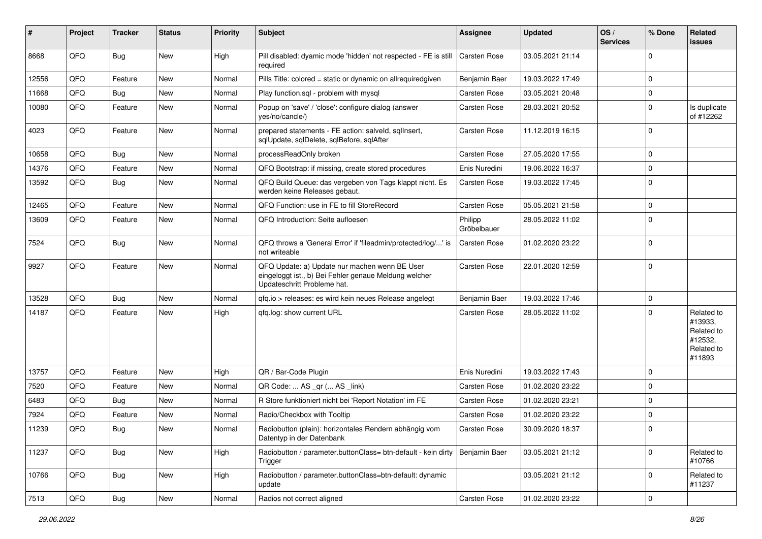| #     | Project | <b>Tracker</b> | <b>Status</b> | <b>Priority</b> | <b>Subject</b>                                                                                                                        | Assignee               | <b>Updated</b>   | OS/<br><b>Services</b> | % Done      | Related<br>issues                                                      |
|-------|---------|----------------|---------------|-----------------|---------------------------------------------------------------------------------------------------------------------------------------|------------------------|------------------|------------------------|-------------|------------------------------------------------------------------------|
| 8668  | QFQ     | Bug            | <b>New</b>    | High            | Pill disabled: dyamic mode 'hidden' not respected - FE is still<br>required                                                           | <b>Carsten Rose</b>    | 03.05.2021 21:14 |                        | $\mathbf 0$ |                                                                        |
| 12556 | QFQ     | Feature        | New           | Normal          | Pills Title: colored = static or dynamic on allrequiredgiven                                                                          | Benjamin Baer          | 19.03.2022 17:49 |                        | $\mathbf 0$ |                                                                        |
| 11668 | QFQ     | Bug            | New           | Normal          | Play function.sql - problem with mysql                                                                                                | Carsten Rose           | 03.05.2021 20:48 |                        | $\mathbf 0$ |                                                                        |
| 10080 | QFQ     | Feature        | New           | Normal          | Popup on 'save' / 'close': configure dialog (answer<br>yes/no/cancle/)                                                                | <b>Carsten Rose</b>    | 28.03.2021 20:52 |                        | $\mathbf 0$ | Is duplicate<br>of #12262                                              |
| 4023  | QFQ     | Feature        | New           | Normal          | prepared statements - FE action: salveld, sqlInsert,<br>sqlUpdate, sqlDelete, sqlBefore, sqlAfter                                     | Carsten Rose           | 11.12.2019 16:15 |                        | $\mathbf 0$ |                                                                        |
| 10658 | QFQ     | Bug            | <b>New</b>    | Normal          | processReadOnly broken                                                                                                                | <b>Carsten Rose</b>    | 27.05.2020 17:55 |                        | $\mathbf 0$ |                                                                        |
| 14376 | QFQ     | Feature        | New           | Normal          | QFQ Bootstrap: if missing, create stored procedures                                                                                   | Enis Nuredini          | 19.06.2022 16:37 |                        | $\mathbf 0$ |                                                                        |
| 13592 | QFQ     | Bug            | New           | Normal          | QFQ Build Queue: das vergeben von Tags klappt nicht. Es<br>werden keine Releases gebaut.                                              | <b>Carsten Rose</b>    | 19.03.2022 17:45 |                        | $\mathbf 0$ |                                                                        |
| 12465 | QFQ     | Feature        | <b>New</b>    | Normal          | QFQ Function: use in FE to fill StoreRecord                                                                                           | <b>Carsten Rose</b>    | 05.05.2021 21:58 |                        | $\mathbf 0$ |                                                                        |
| 13609 | QFQ     | Feature        | New           | Normal          | QFQ Introduction: Seite aufloesen                                                                                                     | Philipp<br>Gröbelbauer | 28.05.2022 11:02 |                        | $\mathbf 0$ |                                                                        |
| 7524  | QFQ     | <b>Bug</b>     | New           | Normal          | QFQ throws a 'General Error' if 'fileadmin/protected/log/' is<br>not writeable                                                        | Carsten Rose           | 01.02.2020 23:22 |                        | $\mathbf 0$ |                                                                        |
| 9927  | QFQ     | Feature        | New           | Normal          | QFQ Update: a) Update nur machen wenn BE User<br>eingeloggt ist., b) Bei Fehler genaue Meldung welcher<br>Updateschritt Probleme hat. | <b>Carsten Rose</b>    | 22.01.2020 12:59 |                        | $\mathbf 0$ |                                                                        |
| 13528 | QFQ     | Bug            | New           | Normal          | gfg.io > releases: es wird kein neues Release angelegt                                                                                | Benjamin Baer          | 19.03.2022 17:46 |                        | $\mathbf 0$ |                                                                        |
| 14187 | QFQ     | Feature        | New           | High            | qfq.log: show current URL                                                                                                             | <b>Carsten Rose</b>    | 28.05.2022 11:02 |                        | $\mathbf 0$ | Related to<br>#13933,<br>Related to<br>#12532,<br>Related to<br>#11893 |
| 13757 | QFQ     | Feature        | New           | High            | QR / Bar-Code Plugin                                                                                                                  | Enis Nuredini          | 19.03.2022 17:43 |                        | $\mathbf 0$ |                                                                        |
| 7520  | QFQ     | Feature        | New           | Normal          | QR Code:  AS _qr ( AS _link)                                                                                                          | Carsten Rose           | 01.02.2020 23:22 |                        | $\mathbf 0$ |                                                                        |
| 6483  | QFQ     | Bug            | New           | Normal          | R Store funktioniert nicht bei 'Report Notation' im FE                                                                                | <b>Carsten Rose</b>    | 01.02.2020 23:21 |                        | $\mathbf 0$ |                                                                        |
| 7924  | QFQ     | Feature        | New           | Normal          | Radio/Checkbox with Tooltip                                                                                                           | <b>Carsten Rose</b>    | 01.02.2020 23:22 |                        | $\mathbf 0$ |                                                                        |
| 11239 | QFQ     | Bug            | New           | Normal          | Radiobutton (plain): horizontales Rendern abhängig vom<br>Datentyp in der Datenbank                                                   | Carsten Rose           | 30.09.2020 18:37 |                        | $\Omega$    |                                                                        |
| 11237 | QFQ     | <b>Bug</b>     | New           | High            | Radiobutton / parameter.buttonClass= btn-default - kein dirty<br>Trigger                                                              | Benjamin Baer          | 03.05.2021 21:12 |                        | $\mathbf 0$ | Related to<br>#10766                                                   |
| 10766 | QFQ     | <b>Bug</b>     | New           | High            | Radiobutton / parameter.buttonClass=btn-default: dynamic<br>update                                                                    |                        | 03.05.2021 21:12 |                        | $\mathbf 0$ | Related to<br>#11237                                                   |
| 7513  | QFQ     | Bug            | New           | Normal          | Radios not correct aligned                                                                                                            | Carsten Rose           | 01.02.2020 23:22 |                        | $\mathsf 0$ |                                                                        |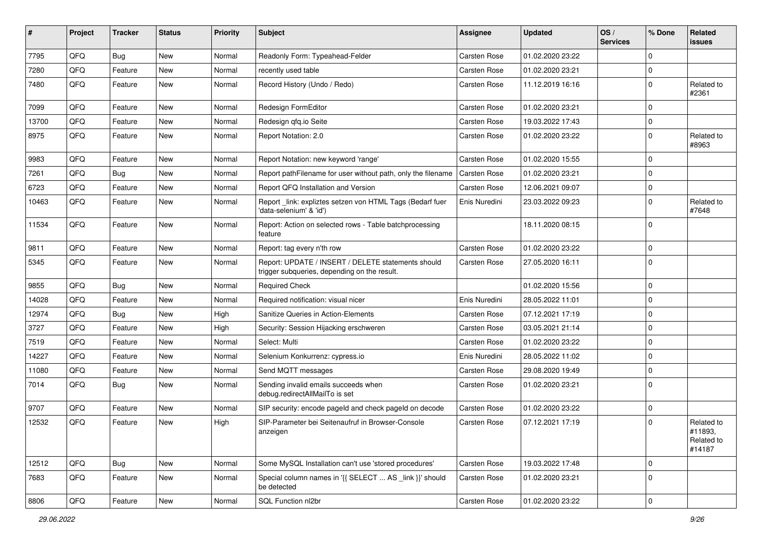| #     | Project | <b>Tracker</b> | <b>Status</b> | <b>Priority</b> | <b>Subject</b>                                                                                     | Assignee            | <b>Updated</b>   | OS/<br><b>Services</b> | % Done      | Related<br><b>issues</b>                      |
|-------|---------|----------------|---------------|-----------------|----------------------------------------------------------------------------------------------------|---------------------|------------------|------------------------|-------------|-----------------------------------------------|
| 7795  | QFQ     | Bug            | <b>New</b>    | Normal          | Readonly Form: Typeahead-Felder                                                                    | <b>Carsten Rose</b> | 01.02.2020 23:22 |                        | $\mathbf 0$ |                                               |
| 7280  | QFQ     | Feature        | New           | Normal          | recently used table                                                                                | <b>Carsten Rose</b> | 01.02.2020 23:21 |                        | $\mathbf 0$ |                                               |
| 7480  | QFQ     | Feature        | New           | Normal          | Record History (Undo / Redo)                                                                       | <b>Carsten Rose</b> | 11.12.2019 16:16 |                        | $\mathbf 0$ | Related to<br>#2361                           |
| 7099  | QFQ     | Feature        | <b>New</b>    | Normal          | Redesign FormEditor                                                                                | Carsten Rose        | 01.02.2020 23:21 |                        | $\mathbf 0$ |                                               |
| 13700 | QFQ     | Feature        | New           | Normal          | Redesign gfg.io Seite                                                                              | Carsten Rose        | 19.03.2022 17:43 |                        | $\mathbf 0$ |                                               |
| 8975  | QFQ     | Feature        | <b>New</b>    | Normal          | Report Notation: 2.0                                                                               | <b>Carsten Rose</b> | 01.02.2020 23:22 |                        | $\mathbf 0$ | Related to<br>#8963                           |
| 9983  | QFQ     | Feature        | <b>New</b>    | Normal          | Report Notation: new keyword 'range'                                                               | <b>Carsten Rose</b> | 01.02.2020 15:55 |                        | $\mathbf 0$ |                                               |
| 7261  | QFQ     | Bug            | New           | Normal          | Report pathFilename for user without path, only the filename                                       | <b>Carsten Rose</b> | 01.02.2020 23:21 |                        | 0           |                                               |
| 6723  | QFQ     | Feature        | New           | Normal          | Report QFQ Installation and Version                                                                | <b>Carsten Rose</b> | 12.06.2021 09:07 |                        | $\mathbf 0$ |                                               |
| 10463 | QFQ     | Feature        | New           | Normal          | Report _link: expliztes setzen von HTML Tags (Bedarf fuer<br>'data-selenium' & 'id')               | Enis Nuredini       | 23.03.2022 09:23 |                        | $\mathbf 0$ | Related to<br>#7648                           |
| 11534 | QFQ     | Feature        | New           | Normal          | Report: Action on selected rows - Table batchprocessing<br>feature                                 |                     | 18.11.2020 08:15 |                        | $\mathbf 0$ |                                               |
| 9811  | QFQ     | Feature        | <b>New</b>    | Normal          | Report: tag every n'th row                                                                         | <b>Carsten Rose</b> | 01.02.2020 23:22 |                        | $\mathbf 0$ |                                               |
| 5345  | QFQ     | Feature        | New           | Normal          | Report: UPDATE / INSERT / DELETE statements should<br>trigger subqueries, depending on the result. | <b>Carsten Rose</b> | 27.05.2020 16:11 |                        | $\mathbf 0$ |                                               |
| 9855  | QFQ     | Bug            | <b>New</b>    | Normal          | <b>Required Check</b>                                                                              |                     | 01.02.2020 15:56 |                        | $\mathbf 0$ |                                               |
| 14028 | QFQ     | Feature        | <b>New</b>    | Normal          | Required notification: visual nicer                                                                | Enis Nuredini       | 28.05.2022 11:01 |                        | $\mathbf 0$ |                                               |
| 12974 | QFQ     | Bug            | New           | High            | Sanitize Queries in Action-Elements                                                                | <b>Carsten Rose</b> | 07.12.2021 17:19 |                        | $\mathbf 0$ |                                               |
| 3727  | QFQ     | Feature        | New           | High            | Security: Session Hijacking erschweren                                                             | <b>Carsten Rose</b> | 03.05.2021 21:14 |                        | $\mathbf 0$ |                                               |
| 7519  | QFQ     | Feature        | <b>New</b>    | Normal          | Select: Multi                                                                                      | <b>Carsten Rose</b> | 01.02.2020 23:22 |                        | $\mathbf 0$ |                                               |
| 14227 | QFQ     | Feature        | New           | Normal          | Selenium Konkurrenz: cypress.io                                                                    | Enis Nuredini       | 28.05.2022 11:02 |                        | $\mathbf 0$ |                                               |
| 11080 | QFQ     | Feature        | <b>New</b>    | Normal          | Send MQTT messages                                                                                 | <b>Carsten Rose</b> | 29.08.2020 19:49 |                        | $\mathbf 0$ |                                               |
| 7014  | QFQ     | <b>Bug</b>     | <b>New</b>    | Normal          | Sending invalid emails succeeds when<br>debug.redirectAllMailTo is set                             | Carsten Rose        | 01.02.2020 23:21 |                        | $\mathbf 0$ |                                               |
| 9707  | QFQ     | Feature        | <b>New</b>    | Normal          | SIP security: encode pageId and check pageId on decode                                             | <b>Carsten Rose</b> | 01.02.2020 23:22 |                        | $\mathbf 0$ |                                               |
| 12532 | QFQ     | Feature        | New           | High            | SIP-Parameter bei Seitenaufruf in Browser-Console<br>anzeigen                                      | Carsten Rose        | 07.12.2021 17:19 |                        | $\mathbf 0$ | Related to<br>#11893,<br>Related to<br>#14187 |
| 12512 | QFQ     | Bug            | New           | Normal          | Some MySQL Installation can't use 'stored procedures'                                              | Carsten Rose        | 19.03.2022 17:48 |                        | $\mathbf 0$ |                                               |
| 7683  | QFQ     | Feature        | New           | Normal          | Special column names in '{{ SELECT  AS _link }}' should<br>be detected                             | Carsten Rose        | 01.02.2020 23:21 |                        | $\mathbf 0$ |                                               |
| 8806  | QFQ     | Feature        | New           | Normal          | SQL Function nl2br                                                                                 | Carsten Rose        | 01.02.2020 23:22 |                        | $\pmb{0}$   |                                               |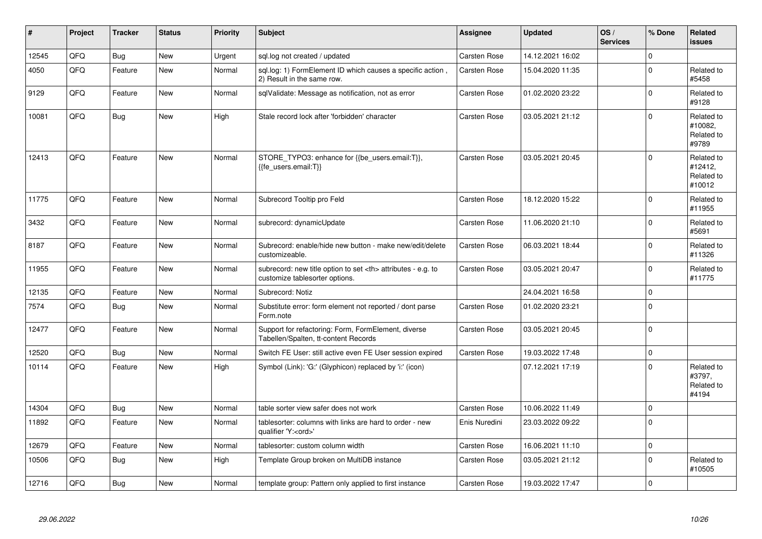| $\vert$ # | Project | <b>Tracker</b> | <b>Status</b> | <b>Priority</b> | <b>Subject</b>                                                                                       | <b>Assignee</b>                                        | <b>Updated</b>   | OS/<br><b>Services</b> | % Done       | <b>Related</b><br><b>issues</b>               |                      |
|-----------|---------|----------------|---------------|-----------------|------------------------------------------------------------------------------------------------------|--------------------------------------------------------|------------------|------------------------|--------------|-----------------------------------------------|----------------------|
| 12545     | QFQ     | Bug            | <b>New</b>    | Urgent          | sql.log not created / updated                                                                        | Carsten Rose                                           | 14.12.2021 16:02 |                        | $\Omega$     |                                               |                      |
| 4050      | QFQ     | Feature        | New           | Normal          | sql.log: 1) FormElement ID which causes a specific action,<br>2) Result in the same row.             | Carsten Rose                                           | 15.04.2020 11:35 |                        | $\mathbf 0$  | Related to<br>#5458                           |                      |
| 9129      | QFQ     | Feature        | <b>New</b>    | Normal          | sqlValidate: Message as notification, not as error                                                   | Carsten Rose                                           | 01.02.2020 23:22 |                        | $\mathbf{0}$ | Related to<br>#9128                           |                      |
| 10081     | QFQ     | Bug            | <b>New</b>    | High            | Stale record lock after 'forbidden' character                                                        | Carsten Rose                                           | 03.05.2021 21:12 |                        | $\Omega$     | Related to<br>#10082.<br>Related to<br>#9789  |                      |
| 12413     | QFQ     | Feature        | <b>New</b>    | Normal          | STORE TYPO3: enhance for {{be users.email:T}},<br>{{fe_users.email:T}}                               | Carsten Rose                                           | 03.05.2021 20:45 |                        | $\mathbf 0$  | Related to<br>#12412.<br>Related to<br>#10012 |                      |
| 11775     | QFQ     | Feature        | <b>New</b>    | Normal          | Subrecord Tooltip pro Feld                                                                           | Carsten Rose                                           | 18.12.2020 15:22 |                        | $\Omega$     | Related to<br>#11955                          |                      |
| 3432      | QFQ     | Feature        | <b>New</b>    | Normal          | subrecord: dynamicUpdate                                                                             | Carsten Rose                                           | 11.06.2020 21:10 |                        | $\Omega$     | Related to<br>#5691                           |                      |
| 8187      | QFQ     | Feature        | <b>New</b>    | Normal          | Subrecord: enable/hide new button - make new/edit/delete<br>customizeable.                           | Carsten Rose                                           | 06.03.2021 18:44 |                        | $\mathbf 0$  | Related to<br>#11326                          |                      |
| 11955     | QFQ     | Feature        | <b>New</b>    | Normal          | subrecord: new title option to set <th> attributes - e.g. to<br/>customize tablesorter options.</th> | attributes - e.g. to<br>customize tablesorter options. | Carsten Rose     | 03.05.2021 20:47       |              | $\mathbf 0$                                   | Related to<br>#11775 |
| 12135     | QFQ     | Feature        | New           | Normal          | Subrecord: Notiz                                                                                     |                                                        | 24.04.2021 16:58 |                        | $\Omega$     |                                               |                      |
| 7574      | QFQ     | Bug            | <b>New</b>    | Normal          | Substitute error: form element not reported / dont parse<br>Form.note                                | Carsten Rose                                           | 01.02.2020 23:21 |                        | $\mathbf 0$  |                                               |                      |
| 12477     | QFQ     | Feature        | New           | Normal          | Support for refactoring: Form, FormElement, diverse<br>Tabellen/Spalten, tt-content Records          | Carsten Rose                                           | 03.05.2021 20:45 |                        | $\mathbf 0$  |                                               |                      |
| 12520     | QFQ     | Bug            | <b>New</b>    | Normal          | Switch FE User: still active even FE User session expired                                            | Carsten Rose                                           | 19.03.2022 17:48 |                        | $\mathbf 0$  |                                               |                      |
| 10114     | QFQ     | Feature        | New           | High            | Symbol (Link): 'G:' (Glyphicon) replaced by 'i:' (icon)                                              |                                                        | 07.12.2021 17:19 |                        | $\mathbf 0$  | Related to<br>#3797,<br>Related to<br>#4194   |                      |
| 14304     | QFQ     | Bug            | <b>New</b>    | Normal          | table sorter view safer does not work                                                                | <b>Carsten Rose</b>                                    | 10.06.2022 11:49 |                        | $\mathbf 0$  |                                               |                      |
| 11892     | QFQ     | Feature        | <b>New</b>    | Normal          | tablesorter: columns with links are hard to order - new<br>qualifier 'Y: <ord>'</ord>                | Enis Nuredini                                          | 23.03.2022 09:22 |                        | $\mathbf 0$  |                                               |                      |
| 12679     | QFQ     | Feature        | <b>New</b>    | Normal          | tablesorter: custom column width                                                                     | Carsten Rose                                           | 16.06.2021 11:10 |                        | $\pmb{0}$    |                                               |                      |
| 10506     | QFQ     | <b>Bug</b>     | <b>New</b>    | High            | Template Group broken on MultiDB instance                                                            | Carsten Rose                                           | 03.05.2021 21:12 |                        | $\mathbf 0$  | Related to<br>#10505                          |                      |
| 12716     | QFQ     | Bug            | <b>New</b>    | Normal          | template group: Pattern only applied to first instance                                               | Carsten Rose                                           | 19.03.2022 17:47 |                        | $\pmb{0}$    |                                               |                      |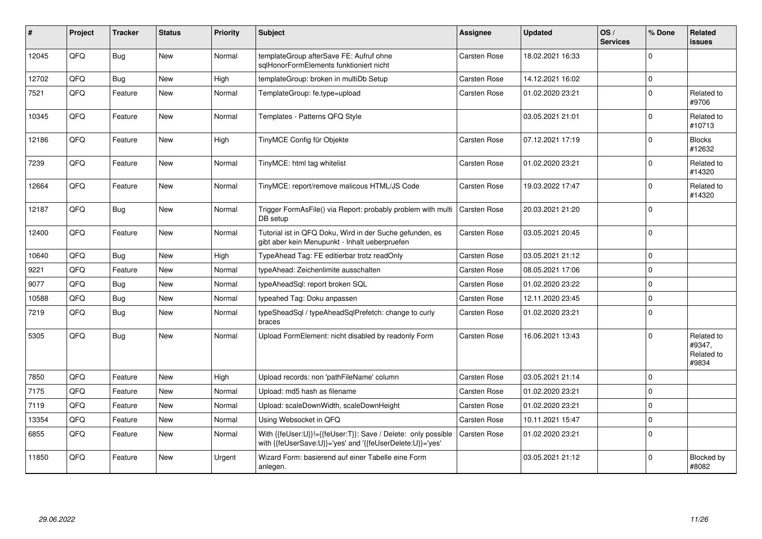| #     | Project | <b>Tracker</b> | <b>Status</b> | <b>Priority</b> | <b>Subject</b>                                                                                                             | Assignee     | <b>Updated</b>   | OS/<br><b>Services</b> | % Done      | Related<br><b>issues</b>                    |
|-------|---------|----------------|---------------|-----------------|----------------------------------------------------------------------------------------------------------------------------|--------------|------------------|------------------------|-------------|---------------------------------------------|
| 12045 | QFQ     | Bug            | <b>New</b>    | Normal          | templateGroup afterSave FE: Aufruf ohne<br>salHonorFormElements funktioniert nicht                                         | Carsten Rose | 18.02.2021 16:33 |                        | $\Omega$    |                                             |
| 12702 | QFQ     | Bug            | <b>New</b>    | High            | templateGroup: broken in multiDb Setup                                                                                     | Carsten Rose | 14.12.2021 16:02 |                        | $\mathbf 0$ |                                             |
| 7521  | QFQ     | Feature        | New           | Normal          | TemplateGroup: fe.type=upload                                                                                              | Carsten Rose | 01.02.2020 23:21 |                        | $\mathbf 0$ | Related to<br>#9706                         |
| 10345 | QFQ     | Feature        | New           | Normal          | Templates - Patterns QFQ Style                                                                                             |              | 03.05.2021 21:01 |                        | $\Omega$    | Related to<br>#10713                        |
| 12186 | QFQ     | Feature        | <b>New</b>    | High            | TinyMCE Config für Objekte                                                                                                 | Carsten Rose | 07.12.2021 17:19 |                        | $\Omega$    | <b>Blocks</b><br>#12632                     |
| 7239  | QFQ     | Feature        | <b>New</b>    | Normal          | TinyMCE: html tag whitelist                                                                                                | Carsten Rose | 01.02.2020 23:21 |                        | $\Omega$    | Related to<br>#14320                        |
| 12664 | QFQ     | Feature        | <b>New</b>    | Normal          | TinyMCE: report/remove malicous HTML/JS Code                                                                               | Carsten Rose | 19.03.2022 17:47 |                        | $\Omega$    | Related to<br>#14320                        |
| 12187 | QFQ     | Bug            | New           | Normal          | Trigger FormAsFile() via Report: probably problem with multi<br>DB setup                                                   | Carsten Rose | 20.03.2021 21:20 |                        | $\Omega$    |                                             |
| 12400 | QFQ     | Feature        | <b>New</b>    | Normal          | Tutorial ist in QFQ Doku, Wird in der Suche gefunden, es<br>gibt aber kein Menupunkt - Inhalt ueberpruefen                 | Carsten Rose | 03.05.2021 20:45 |                        | $\Omega$    |                                             |
| 10640 | QFQ     | Bug            | <b>New</b>    | High            | TypeAhead Tag: FE editierbar trotz readOnly                                                                                | Carsten Rose | 03.05.2021 21:12 |                        | $\mathbf 0$ |                                             |
| 9221  | QFQ     | Feature        | <b>New</b>    | Normal          | typeAhead: Zeichenlimite ausschalten                                                                                       | Carsten Rose | 08.05.2021 17:06 |                        | $\mathbf 0$ |                                             |
| 9077  | QFQ     | <b>Bug</b>     | New           | Normal          | typeAheadSql: report broken SQL                                                                                            | Carsten Rose | 01.02.2020 23:22 |                        | $\Omega$    |                                             |
| 10588 | QFQ     | <b>Bug</b>     | <b>New</b>    | Normal          | typeahed Tag: Doku anpassen                                                                                                | Carsten Rose | 12.11.2020 23:45 |                        | $\mathbf 0$ |                                             |
| 7219  | QFQ     | Bug            | <b>New</b>    | Normal          | typeSheadSql / typeAheadSqlPrefetch: change to curly<br>braces                                                             | Carsten Rose | 01.02.2020 23:21 |                        | $\Omega$    |                                             |
| 5305  | QFQ     | Bug            | New           | Normal          | Upload FormElement: nicht disabled by readonly Form                                                                        | Carsten Rose | 16.06.2021 13:43 |                        | $\Omega$    | Related to<br>#9347,<br>Related to<br>#9834 |
| 7850  | QFQ     | Feature        | <b>New</b>    | High            | Upload records: non 'pathFileName' column                                                                                  | Carsten Rose | 03.05.2021 21:14 |                        | $\mathbf 0$ |                                             |
| 7175  | QFQ     | Feature        | New           | Normal          | Upload: md5 hash as filename                                                                                               | Carsten Rose | 01.02.2020 23:21 |                        | $\Omega$    |                                             |
| 7119  | QFQ     | Feature        | <b>New</b>    | Normal          | Upload: scaleDownWidth, scaleDownHeight                                                                                    | Carsten Rose | 01.02.2020 23:21 |                        | $\mathbf 0$ |                                             |
| 13354 | QFQ     | Feature        | New           | Normal          | Using Websocket in QFQ                                                                                                     | Carsten Rose | 10.11.2021 15:47 |                        | $\Omega$    |                                             |
| 6855  | QFQ     | Feature        | New           | Normal          | With {{feUser:U}}!={{feUser:T}}: Save / Delete: only possible<br>with {{feUserSave:U}}='yes' and '{{feUserDelete:U}}='yes' | Carsten Rose | 01.02.2020 23:21 |                        | $\mathbf 0$ |                                             |
| 11850 | QFQ     | Feature        | <b>New</b>    | Urgent          | Wizard Form: basierend auf einer Tabelle eine Form<br>anlegen.                                                             |              | 03.05.2021 21:12 |                        | $\Omega$    | <b>Blocked by</b><br>#8082                  |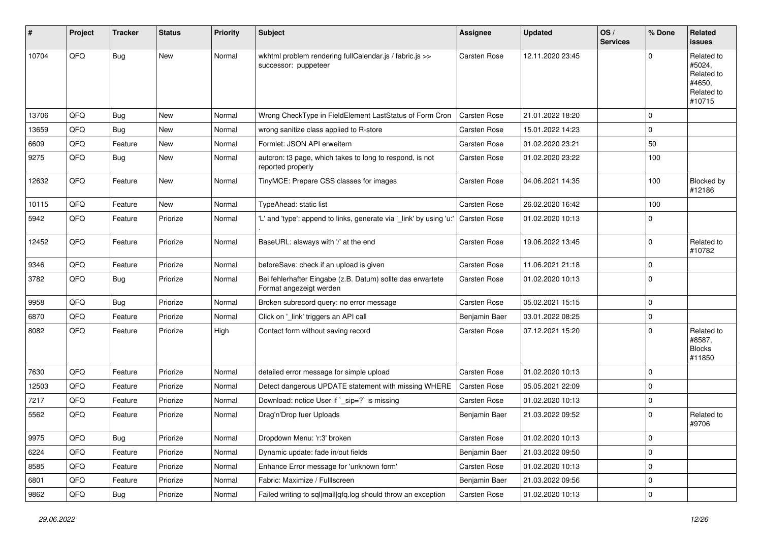| #     | Project | <b>Tracker</b> | <b>Status</b> | <b>Priority</b> | Subject                                                                               | <b>Assignee</b>     | <b>Updated</b>   | OS/<br><b>Services</b> | % Done      | Related<br><b>issues</b>                                             |
|-------|---------|----------------|---------------|-----------------|---------------------------------------------------------------------------------------|---------------------|------------------|------------------------|-------------|----------------------------------------------------------------------|
| 10704 | QFQ     | <b>Bug</b>     | <b>New</b>    | Normal          | wkhtml problem rendering fullCalendar.js / fabric.js >><br>successor: puppeteer       | Carsten Rose        | 12.11.2020 23:45 |                        | $\Omega$    | Related to<br>#5024,<br>Related to<br>#4650,<br>Related to<br>#10715 |
| 13706 | QFQ     | Bug            | New           | Normal          | Wrong CheckType in FieldElement LastStatus of Form Cron                               | <b>Carsten Rose</b> | 21.01.2022 18:20 |                        | $\mathbf 0$ |                                                                      |
| 13659 | QFQ     | Bug            | <b>New</b>    | Normal          | wrong sanitize class applied to R-store                                               | Carsten Rose        | 15.01.2022 14:23 |                        | $\mathbf 0$ |                                                                      |
| 6609  | QFQ     | Feature        | <b>New</b>    | Normal          | Formlet: JSON API erweitern                                                           | <b>Carsten Rose</b> | 01.02.2020 23:21 |                        | 50          |                                                                      |
| 9275  | QFQ     | Bug            | New           | Normal          | autcron: t3 page, which takes to long to respond, is not<br>reported properly         | <b>Carsten Rose</b> | 01.02.2020 23:22 |                        | 100         |                                                                      |
| 12632 | QFQ     | Feature        | New           | Normal          | TinyMCE: Prepare CSS classes for images                                               | <b>Carsten Rose</b> | 04.06.2021 14:35 |                        | 100         | Blocked by<br>#12186                                                 |
| 10115 | QFQ     | Feature        | New           | Normal          | TypeAhead: static list                                                                | Carsten Rose        | 26.02.2020 16:42 |                        | 100         |                                                                      |
| 5942  | QFQ     | Feature        | Priorize      | Normal          | 'L' and 'type': append to links, generate via '_link' by using 'u:'                   | <b>Carsten Rose</b> | 01.02.2020 10:13 |                        | 0           |                                                                      |
| 12452 | QFQ     | Feature        | Priorize      | Normal          | BaseURL: alsways with '/' at the end                                                  | Carsten Rose        | 19.06.2022 13:45 |                        | 0           | Related to<br>#10782                                                 |
| 9346  | QFQ     | Feature        | Priorize      | Normal          | beforeSave: check if an upload is given                                               | <b>Carsten Rose</b> | 11.06.2021 21:18 |                        | $\mathbf 0$ |                                                                      |
| 3782  | QFQ     | Bug            | Priorize      | Normal          | Bei fehlerhafter Eingabe (z.B. Datum) sollte das erwartete<br>Format angezeigt werden | <b>Carsten Rose</b> | 01.02.2020 10:13 |                        | $\mathbf 0$ |                                                                      |
| 9958  | QFQ     | Bug            | Priorize      | Normal          | Broken subrecord query: no error message                                              | Carsten Rose        | 05.02.2021 15:15 |                        | $\mathbf 0$ |                                                                      |
| 6870  | QFQ     | Feature        | Priorize      | Normal          | Click on '_link' triggers an API call                                                 | Benjamin Baer       | 03.01.2022 08:25 |                        | 0           |                                                                      |
| 8082  | QFQ     | Feature        | Priorize      | High            | Contact form without saving record                                                    | <b>Carsten Rose</b> | 07.12.2021 15:20 |                        | $\mathbf 0$ | Related to<br>#8587,<br><b>Blocks</b><br>#11850                      |
| 7630  | QFQ     | Feature        | Priorize      | Normal          | detailed error message for simple upload                                              | <b>Carsten Rose</b> | 01.02.2020 10:13 |                        | $\mathbf 0$ |                                                                      |
| 12503 | QFQ     | Feature        | Priorize      | Normal          | Detect dangerous UPDATE statement with missing WHERE                                  | <b>Carsten Rose</b> | 05.05.2021 22:09 |                        | $\mathbf 0$ |                                                                      |
| 7217  | QFQ     | Feature        | Priorize      | Normal          | Download: notice User if `_sip=?` is missing                                          | Carsten Rose        | 01.02.2020 10:13 |                        | $\mathbf 0$ |                                                                      |
| 5562  | QFQ     | Feature        | Priorize      | Normal          | Drag'n'Drop fuer Uploads                                                              | Benjamin Baer       | 21.03.2022 09:52 |                        | $\mathbf 0$ | Related to<br>#9706                                                  |
| 9975  | QFQ     | <b>Bug</b>     | Priorize      | Normal          | Dropdown Menu: 'r:3' broken                                                           | Carsten Rose        | 01.02.2020 10:13 |                        | $\pmb{0}$   |                                                                      |
| 6224  | QFQ     | Feature        | Priorize      | Normal          | Dynamic update: fade in/out fields                                                    | Benjamin Baer       | 21.03.2022 09:50 |                        | 0           |                                                                      |
| 8585  | QFQ     | Feature        | Priorize      | Normal          | Enhance Error message for 'unknown form'                                              | Carsten Rose        | 01.02.2020 10:13 |                        | 0           |                                                                      |
| 6801  | QFQ     | Feature        | Priorize      | Normal          | Fabric: Maximize / FullIscreen                                                        | Benjamin Baer       | 21.03.2022 09:56 |                        | $\mathbf 0$ |                                                                      |
| 9862  | QFQ     | Bug            | Priorize      | Normal          | Failed writing to sql mail qfq.log should throw an exception                          | Carsten Rose        | 01.02.2020 10:13 |                        | 0           |                                                                      |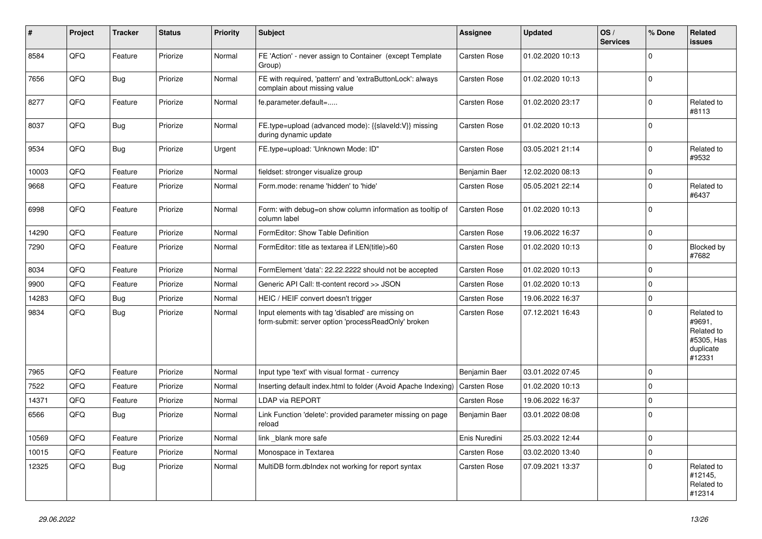| #     | Project | <b>Tracker</b> | <b>Status</b> | <b>Priority</b> | <b>Subject</b>                                                                                           | <b>Assignee</b>     | <b>Updated</b>   | OS/<br><b>Services</b> | % Done      | Related<br><b>issues</b>                                                |
|-------|---------|----------------|---------------|-----------------|----------------------------------------------------------------------------------------------------------|---------------------|------------------|------------------------|-------------|-------------------------------------------------------------------------|
| 8584  | QFQ     | Feature        | Priorize      | Normal          | FE 'Action' - never assign to Container (except Template<br>Group)                                       | Carsten Rose        | 01.02.2020 10:13 |                        | $\mathbf 0$ |                                                                         |
| 7656  | QFQ     | Bug            | Priorize      | Normal          | FE with required, 'pattern' and 'extraButtonLock': always<br>complain about missing value                | <b>Carsten Rose</b> | 01.02.2020 10:13 |                        | $\mathbf 0$ |                                                                         |
| 8277  | QFQ     | Feature        | Priorize      | Normal          | fe.parameter.default=                                                                                    | Carsten Rose        | 01.02.2020 23:17 |                        | $\mathbf 0$ | Related to<br>#8113                                                     |
| 8037  | QFQ     | <b>Bug</b>     | Priorize      | Normal          | FE.type=upload (advanced mode): {{slaveld:V}} missing<br>during dynamic update                           | <b>Carsten Rose</b> | 01.02.2020 10:13 |                        | $\mathbf 0$ |                                                                         |
| 9534  | QFQ     | Bug            | Priorize      | Urgent          | FE.type=upload: 'Unknown Mode: ID"                                                                       | Carsten Rose        | 03.05.2021 21:14 |                        | $\mathbf 0$ | Related to<br>#9532                                                     |
| 10003 | QFQ     | Feature        | Priorize      | Normal          | fieldset: stronger visualize group                                                                       | Benjamin Baer       | 12.02.2020 08:13 |                        | $\pmb{0}$   |                                                                         |
| 9668  | QFQ     | Feature        | Priorize      | Normal          | Form.mode: rename 'hidden' to 'hide'                                                                     | Carsten Rose        | 05.05.2021 22:14 |                        | $\mathbf 0$ | Related to<br>#6437                                                     |
| 6998  | QFQ     | Feature        | Priorize      | Normal          | Form: with debug=on show column information as tooltip of<br>column label                                | Carsten Rose        | 01.02.2020 10:13 |                        | $\mathbf 0$ |                                                                         |
| 14290 | QFQ     | Feature        | Priorize      | Normal          | FormEditor: Show Table Definition                                                                        | <b>Carsten Rose</b> | 19.06.2022 16:37 |                        | $\mathbf 0$ |                                                                         |
| 7290  | QFQ     | Feature        | Priorize      | Normal          | FormEditor: title as textarea if LEN(title)>60                                                           | <b>Carsten Rose</b> | 01.02.2020 10:13 |                        | $\mathbf 0$ | Blocked by<br>#7682                                                     |
| 8034  | QFQ     | Feature        | Priorize      | Normal          | FormElement 'data': 22.22.2222 should not be accepted                                                    | Carsten Rose        | 01.02.2020 10:13 |                        | $\mathbf 0$ |                                                                         |
| 9900  | QFQ     | Feature        | Priorize      | Normal          | Generic API Call: tt-content record >> JSON                                                              | Carsten Rose        | 01.02.2020 10:13 |                        | $\mathbf 0$ |                                                                         |
| 14283 | QFQ     | <b>Bug</b>     | Priorize      | Normal          | HEIC / HEIF convert doesn't trigger                                                                      | Carsten Rose        | 19.06.2022 16:37 |                        | $\mathbf 0$ |                                                                         |
| 9834  | QFQ     | Bug            | Priorize      | Normal          | Input elements with tag 'disabled' are missing on<br>form-submit: server option 'processReadOnly' broken | Carsten Rose        | 07.12.2021 16:43 |                        | $\mathbf 0$ | Related to<br>#9691,<br>Related to<br>#5305, Has<br>duplicate<br>#12331 |
| 7965  | QFQ     | Feature        | Priorize      | Normal          | Input type 'text' with visual format - currency                                                          | Benjamin Baer       | 03.01.2022 07:45 |                        | $\mathbf 0$ |                                                                         |
| 7522  | QFQ     | Feature        | Priorize      | Normal          | Inserting default index.html to folder (Avoid Apache Indexing)                                           | <b>Carsten Rose</b> | 01.02.2020 10:13 |                        | $\mathbf 0$ |                                                                         |
| 14371 | QFQ     | Feature        | Priorize      | Normal          | LDAP via REPORT                                                                                          | Carsten Rose        | 19.06.2022 16:37 |                        | $\mathbf 0$ |                                                                         |
| 6566  | QFQ     | Bug            | Priorize      | Normal          | Link Function 'delete': provided parameter missing on page<br>reload                                     | Benjamin Baer       | 03.01.2022 08:08 |                        | $\mathbf 0$ |                                                                         |
| 10569 | QFO     | Feature        | Priorize      | Normal          | link _blank more safe                                                                                    | Enis Nuredini       | 25.03.2022 12:44 |                        | $\pmb{0}$   |                                                                         |
| 10015 | QFQ     | Feature        | Priorize      | Normal          | Monospace in Textarea                                                                                    | Carsten Rose        | 03.02.2020 13:40 |                        | $\mathbf 0$ |                                                                         |
| 12325 | QFQ     | <b>Bug</b>     | Priorize      | Normal          | MultiDB form.dblndex not working for report syntax                                                       | Carsten Rose        | 07.09.2021 13:37 |                        | $\mathbf 0$ | Related to<br>#12145,<br>Related to<br>#12314                           |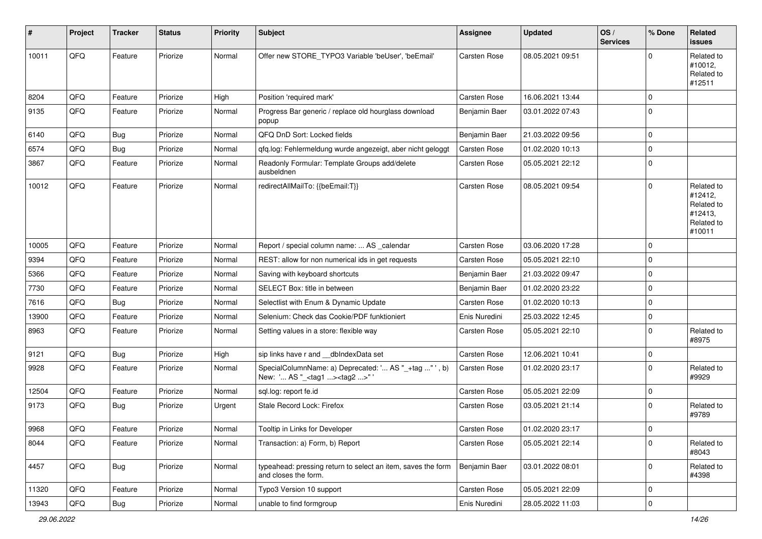| #     | Project | <b>Tracker</b> | <b>Status</b> | <b>Priority</b> | <b>Subject</b>                                                                                    | Assignee            | <b>Updated</b>   | OS/<br><b>Services</b> | % Done      | <b>Related</b><br><b>issues</b>                                        |
|-------|---------|----------------|---------------|-----------------|---------------------------------------------------------------------------------------------------|---------------------|------------------|------------------------|-------------|------------------------------------------------------------------------|
| 10011 | QFQ     | Feature        | Priorize      | Normal          | Offer new STORE TYPO3 Variable 'beUser', 'beEmail'                                                | <b>Carsten Rose</b> | 08.05.2021 09:51 |                        | $\Omega$    | Related to<br>#10012,<br>Related to<br>#12511                          |
| 8204  | QFQ     | Feature        | Priorize      | High            | Position 'required mark'                                                                          | Carsten Rose        | 16.06.2021 13:44 |                        | $\mathbf 0$ |                                                                        |
| 9135  | QFQ     | Feature        | Priorize      | Normal          | Progress Bar generic / replace old hourglass download<br>popup                                    | Benjamin Baer       | 03.01.2022 07:43 |                        | $\mathbf 0$ |                                                                        |
| 6140  | QFQ     | <b>Bug</b>     | Priorize      | Normal          | QFQ DnD Sort: Locked fields                                                                       | Benjamin Baer       | 21.03.2022 09:56 |                        | $\mathbf 0$ |                                                                        |
| 6574  | QFQ     | <b>Bug</b>     | Priorize      | Normal          | qfq.log: Fehlermeldung wurde angezeigt, aber nicht geloggt                                        | <b>Carsten Rose</b> | 01.02.2020 10:13 |                        | $\mathbf 0$ |                                                                        |
| 3867  | QFQ     | Feature        | Priorize      | Normal          | Readonly Formular: Template Groups add/delete<br>ausbeldnen                                       | <b>Carsten Rose</b> | 05.05.2021 22:12 |                        | $\mathbf 0$ |                                                                        |
| 10012 | QFQ     | Feature        | Priorize      | Normal          | redirectAllMailTo: {{beEmail:T}}                                                                  | <b>Carsten Rose</b> | 08.05.2021 09:54 |                        | $\Omega$    | Related to<br>#12412,<br>Related to<br>#12413,<br>Related to<br>#10011 |
| 10005 | QFQ     | Feature        | Priorize      | Normal          | Report / special column name:  AS _calendar                                                       | <b>Carsten Rose</b> | 03.06.2020 17:28 |                        | $\mathbf 0$ |                                                                        |
| 9394  | QFQ     | Feature        | Priorize      | Normal          | REST: allow for non numerical ids in get requests                                                 | Carsten Rose        | 05.05.2021 22:10 |                        | $\Omega$    |                                                                        |
| 5366  | QFQ     | Feature        | Priorize      | Normal          | Saving with keyboard shortcuts                                                                    | Benjamin Baer       | 21.03.2022 09:47 |                        | $\mathbf 0$ |                                                                        |
| 7730  | QFQ     | Feature        | Priorize      | Normal          | SELECT Box: title in between                                                                      | Benjamin Baer       | 01.02.2020 23:22 |                        | $\mathbf 0$ |                                                                        |
| 7616  | QFQ     | <b>Bug</b>     | Priorize      | Normal          | Selectlist with Enum & Dynamic Update                                                             | <b>Carsten Rose</b> | 01.02.2020 10:13 |                        | $\Omega$    |                                                                        |
| 13900 | QFQ     | Feature        | Priorize      | Normal          | Selenium: Check das Cookie/PDF funktioniert                                                       | Enis Nuredini       | 25.03.2022 12:45 |                        | $\mathbf 0$ |                                                                        |
| 8963  | QFQ     | Feature        | Priorize      | Normal          | Setting values in a store: flexible way                                                           | Carsten Rose        | 05.05.2021 22:10 |                        | $\mathbf 0$ | Related to<br>#8975                                                    |
| 9121  | QFQ     | <b>Bug</b>     | Priorize      | High            | sip links have r and __dbIndexData set                                                            | Carsten Rose        | 12.06.2021 10:41 |                        | $\mathbf 0$ |                                                                        |
| 9928  | QFQ     | Feature        | Priorize      | Normal          | SpecialColumnName: a) Deprecated: ' AS "_+tag " ', b)<br>New: ' AS "_ <tag1><tag2>"</tag2></tag1> | Carsten Rose        | 01.02.2020 23:17 |                        | $\Omega$    | Related to<br>#9929                                                    |
| 12504 | QFQ     | Feature        | Priorize      | Normal          | sql.log: report fe.id                                                                             | <b>Carsten Rose</b> | 05.05.2021 22:09 |                        | $\mathbf 0$ |                                                                        |
| 9173  | QFQ     | Bug            | Priorize      | Urgent          | Stale Record Lock: Firefox                                                                        | Carsten Rose        | 03.05.2021 21:14 |                        | $\Omega$    | Related to<br>#9789                                                    |
| 9968  | QFQ     | Feature        | Priorize      | Normal          | Tooltip in Links for Developer                                                                    | Carsten Rose        | 01.02.2020 23:17 |                        | $\Omega$    |                                                                        |
| 8044  | QFQ     | Feature        | Priorize      | Normal          | Transaction: a) Form, b) Report                                                                   | Carsten Rose        | 05.05.2021 22:14 |                        | $\mathbf 0$ | Related to<br>#8043                                                    |
| 4457  | QFQ     | <b>Bug</b>     | Priorize      | Normal          | typeahead: pressing return to select an item, saves the form<br>and closes the form.              | Benjamin Baer       | 03.01.2022 08:01 |                        | 0           | Related to<br>#4398                                                    |
| 11320 | QFQ     | Feature        | Priorize      | Normal          | Typo3 Version 10 support                                                                          | Carsten Rose        | 05.05.2021 22:09 |                        | 0           |                                                                        |
| 13943 | QFG     | Bug            | Priorize      | Normal          | unable to find formgroup                                                                          | Enis Nuredini       | 28.05.2022 11:03 |                        | $\mathbf 0$ |                                                                        |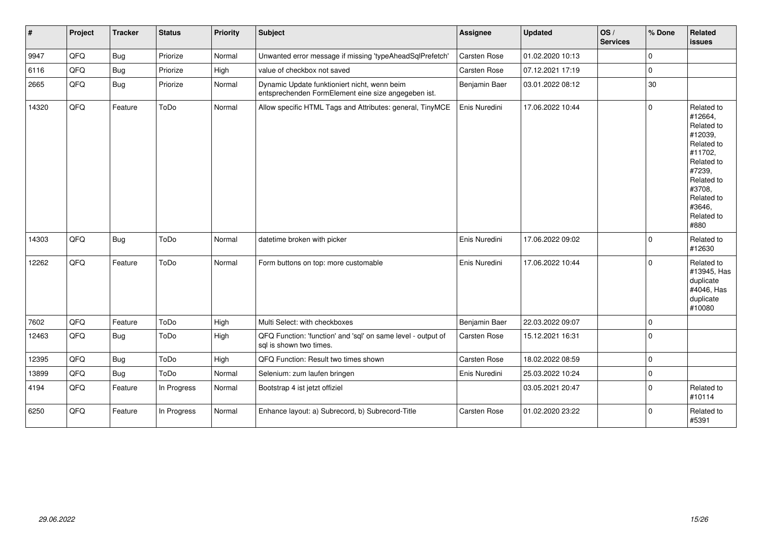| $\pmb{\sharp}$ | Project | <b>Tracker</b> | <b>Status</b> | <b>Priority</b> | <b>Subject</b>                                                                                      | <b>Assignee</b>     | <b>Updated</b>   | OS/<br><b>Services</b> | % Done      | <b>Related</b><br><b>issues</b>                                                                                                                                       |
|----------------|---------|----------------|---------------|-----------------|-----------------------------------------------------------------------------------------------------|---------------------|------------------|------------------------|-------------|-----------------------------------------------------------------------------------------------------------------------------------------------------------------------|
| 9947           | QFQ     | <b>Bug</b>     | Priorize      | Normal          | Unwanted error message if missing 'typeAheadSqlPrefetch'                                            | Carsten Rose        | 01.02.2020 10:13 |                        | $\pmb{0}$   |                                                                                                                                                                       |
| 6116           | QFQ     | <b>Bug</b>     | Priorize      | High            | value of checkbox not saved                                                                         | Carsten Rose        | 07.12.2021 17:19 |                        | $\mathbf 0$ |                                                                                                                                                                       |
| 2665           | QFQ     | Bug            | Priorize      | Normal          | Dynamic Update funktioniert nicht, wenn beim<br>entsprechenden FormElement eine size angegeben ist. | Benjamin Baer       | 03.01.2022 08:12 |                        | 30          |                                                                                                                                                                       |
| 14320          | QFQ     | Feature        | ToDo          | Normal          | Allow specific HTML Tags and Attributes: general, TinyMCE                                           | Enis Nuredini       | 17.06.2022 10:44 |                        | $\mathbf 0$ | Related to<br>#12664,<br>Related to<br>#12039,<br>Related to<br>#11702,<br>Related to<br>#7239,<br>Related to<br>#3708.<br>Related to<br>#3646,<br>Related to<br>#880 |
| 14303          | QFQ     | Bug            | ToDo          | Normal          | datetime broken with picker                                                                         | Enis Nuredini       | 17.06.2022 09:02 |                        | $\mathbf 0$ | Related to<br>#12630                                                                                                                                                  |
| 12262          | QFQ     | Feature        | ToDo          | Normal          | Form buttons on top: more customable                                                                | Enis Nuredini       | 17.06.2022 10:44 |                        | $\mathbf 0$ | Related to<br>#13945, Has<br>duplicate<br>#4046, Has<br>duplicate<br>#10080                                                                                           |
| 7602           | QFQ     | Feature        | ToDo          | High            | Multi Select: with checkboxes                                                                       | Benjamin Baer       | 22.03.2022 09:07 |                        | $\mathbf 0$ |                                                                                                                                                                       |
| 12463          | QFQ     | Bug            | ToDo          | High            | QFQ Function: 'function' and 'sql' on same level - output of<br>sql is shown two times.             | <b>Carsten Rose</b> | 15.12.2021 16:31 |                        | $\mathbf 0$ |                                                                                                                                                                       |
| 12395          | QFQ     | Bug            | ToDo          | High            | QFQ Function: Result two times shown                                                                | Carsten Rose        | 18.02.2022 08:59 |                        | $\mathbf 0$ |                                                                                                                                                                       |
| 13899          | QFQ     | Bug            | ToDo          | Normal          | Selenium: zum laufen bringen                                                                        | Enis Nuredini       | 25.03.2022 10:24 |                        | $\pmb{0}$   |                                                                                                                                                                       |
| 4194           | QFQ     | Feature        | In Progress   | Normal          | Bootstrap 4 ist jetzt offiziel                                                                      |                     | 03.05.2021 20:47 |                        | $\mathbf 0$ | Related to<br>#10114                                                                                                                                                  |
| 6250           | QFQ     | Feature        | In Progress   | Normal          | Enhance layout: a) Subrecord, b) Subrecord-Title                                                    | Carsten Rose        | 01.02.2020 23:22 |                        | $\mathbf 0$ | Related to<br>#5391                                                                                                                                                   |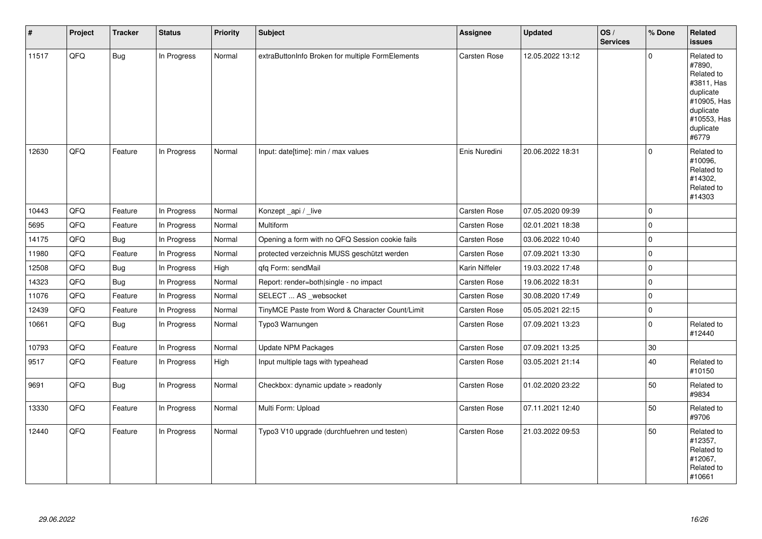| $\vert$ # | Project | <b>Tracker</b> | <b>Status</b> | <b>Priority</b> | <b>Subject</b>                                   | <b>Assignee</b> | <b>Updated</b>   | OS/<br><b>Services</b> | % Done       | Related<br><b>issues</b>                                                                                                       |
|-----------|---------|----------------|---------------|-----------------|--------------------------------------------------|-----------------|------------------|------------------------|--------------|--------------------------------------------------------------------------------------------------------------------------------|
| 11517     | QFQ     | Bug            | In Progress   | Normal          | extraButtonInfo Broken for multiple FormElements | Carsten Rose    | 12.05.2022 13:12 |                        | $\mathbf 0$  | Related to<br>#7890,<br>Related to<br>#3811, Has<br>duplicate<br>#10905, Has<br>duplicate<br>#10553, Has<br>duplicate<br>#6779 |
| 12630     | QFQ     | Feature        | In Progress   | Normal          | Input: date[time]: min / max values              | Enis Nuredini   | 20.06.2022 18:31 |                        | $\Omega$     | Related to<br>#10096,<br>Related to<br>#14302,<br>Related to<br>#14303                                                         |
| 10443     | QFQ     | Feature        | In Progress   | Normal          | Konzept_api / _live                              | Carsten Rose    | 07.05.2020 09:39 |                        | $\mathbf 0$  |                                                                                                                                |
| 5695      | QFQ     | Feature        | In Progress   | Normal          | Multiform                                        | Carsten Rose    | 02.01.2021 18:38 |                        | $\mathbf{0}$ |                                                                                                                                |
| 14175     | QFQ     | <b>Bug</b>     | In Progress   | Normal          | Opening a form with no QFQ Session cookie fails  | Carsten Rose    | 03.06.2022 10:40 |                        | $\mathbf 0$  |                                                                                                                                |
| 11980     | QFQ     | Feature        | In Progress   | Normal          | protected verzeichnis MUSS geschützt werden      | Carsten Rose    | 07.09.2021 13:30 |                        | 0            |                                                                                                                                |
| 12508     | QFQ     | <b>Bug</b>     | In Progress   | High            | qfq Form: sendMail                               | Karin Niffeler  | 19.03.2022 17:48 |                        | $\pmb{0}$    |                                                                                                                                |
| 14323     | QFQ     | <b>Bug</b>     | In Progress   | Normal          | Report: render=both single - no impact           | Carsten Rose    | 19.06.2022 18:31 |                        | $\mathbf 0$  |                                                                                                                                |
| 11076     | QFQ     | Feature        | In Progress   | Normal          | SELECT  AS _websocket                            | Carsten Rose    | 30.08.2020 17:49 |                        | $\mathbf 0$  |                                                                                                                                |
| 12439     | QFQ     | Feature        | In Progress   | Normal          | TinyMCE Paste from Word & Character Count/Limit  | Carsten Rose    | 05.05.2021 22:15 |                        | $\mathbf 0$  |                                                                                                                                |
| 10661     | QFQ     | <b>Bug</b>     | In Progress   | Normal          | Typo3 Warnungen                                  | Carsten Rose    | 07.09.2021 13:23 |                        | $\mathbf 0$  | Related to<br>#12440                                                                                                           |
| 10793     | QFQ     | Feature        | In Progress   | Normal          | <b>Update NPM Packages</b>                       | Carsten Rose    | 07.09.2021 13:25 |                        | $30\,$       |                                                                                                                                |
| 9517      | QFQ     | Feature        | In Progress   | High            | Input multiple tags with typeahead               | Carsten Rose    | 03.05.2021 21:14 |                        | 40           | Related to<br>#10150                                                                                                           |
| 9691      | QFQ     | <b>Bug</b>     | In Progress   | Normal          | Checkbox: dynamic update > readonly              | Carsten Rose    | 01.02.2020 23:22 |                        | 50           | Related to<br>#9834                                                                                                            |
| 13330     | QFQ     | Feature        | In Progress   | Normal          | Multi Form: Upload                               | Carsten Rose    | 07.11.2021 12:40 |                        | 50           | Related to<br>#9706                                                                                                            |
| 12440     | QFQ     | Feature        | In Progress   | Normal          | Typo3 V10 upgrade (durchfuehren und testen)      | Carsten Rose    | 21.03.2022 09:53 |                        | 50           | Related to<br>#12357,<br>Related to<br>#12067.<br>Related to<br>#10661                                                         |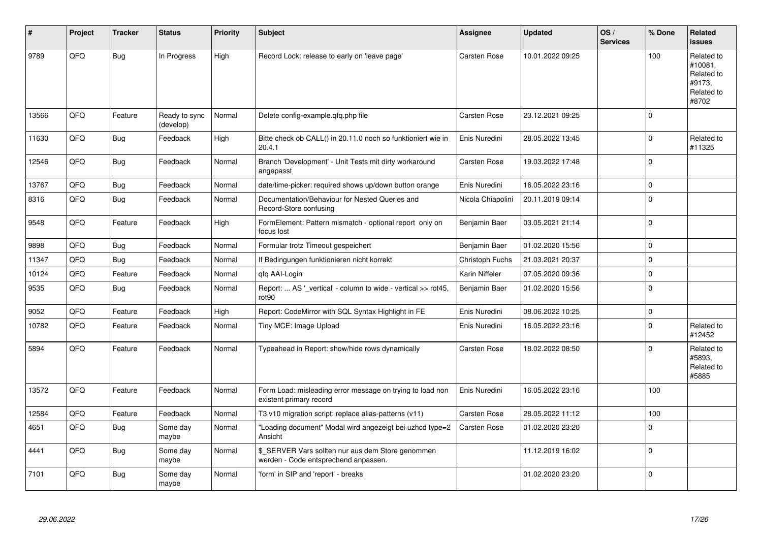| #     | Project | <b>Tracker</b> | <b>Status</b>              | <b>Priority</b> | <b>Subject</b>                                                                            | <b>Assignee</b>     | <b>Updated</b>   | OS/<br><b>Services</b> | % Done      | Related<br><b>issues</b>                                             |
|-------|---------|----------------|----------------------------|-----------------|-------------------------------------------------------------------------------------------|---------------------|------------------|------------------------|-------------|----------------------------------------------------------------------|
| 9789  | QFQ     | Bug            | In Progress                | High            | Record Lock: release to early on 'leave page'                                             | <b>Carsten Rose</b> | 10.01.2022 09:25 |                        | 100         | Related to<br>#10081,<br>Related to<br>#9173.<br>Related to<br>#8702 |
| 13566 | QFQ     | Feature        | Ready to sync<br>(develop) | Normal          | Delete config-example.qfq.php file                                                        | Carsten Rose        | 23.12.2021 09:25 |                        | $\mathbf 0$ |                                                                      |
| 11630 | QFQ     | Bug            | Feedback                   | High            | Bitte check ob CALL() in 20.11.0 noch so funktioniert wie in<br>20.4.1                    | Enis Nuredini       | 28.05.2022 13:45 |                        | $\mathbf 0$ | Related to<br>#11325                                                 |
| 12546 | QFQ     | Bug            | Feedback                   | Normal          | Branch 'Development' - Unit Tests mit dirty workaround<br>angepasst                       | Carsten Rose        | 19.03.2022 17:48 |                        | $\mathbf 0$ |                                                                      |
| 13767 | QFQ     | <b>Bug</b>     | Feedback                   | Normal          | date/time-picker: required shows up/down button orange                                    | Enis Nuredini       | 16.05.2022 23:16 |                        | $\mathbf 0$ |                                                                      |
| 8316  | QFQ     | Bug            | Feedback                   | Normal          | Documentation/Behaviour for Nested Queries and<br>Record-Store confusing                  | Nicola Chiapolini   | 20.11.2019 09:14 |                        | $\pmb{0}$   |                                                                      |
| 9548  | QFQ     | Feature        | Feedback                   | High            | FormElement: Pattern mismatch - optional report only on<br>focus lost                     | Benjamin Baer       | 03.05.2021 21:14 |                        | $\mathbf 0$ |                                                                      |
| 9898  | QFQ     | Bug            | Feedback                   | Normal          | Formular trotz Timeout gespeichert                                                        | Benjamin Baer       | 01.02.2020 15:56 |                        | $\mathbf 0$ |                                                                      |
| 11347 | QFQ     | <b>Bug</b>     | Feedback                   | Normal          | If Bedingungen funktionieren nicht korrekt                                                | Christoph Fuchs     | 21.03.2021 20:37 |                        | $\mathbf 0$ |                                                                      |
| 10124 | QFQ     | Feature        | Feedback                   | Normal          | qfq AAI-Login                                                                             | Karin Niffeler      | 07.05.2020 09:36 |                        | $\pmb{0}$   |                                                                      |
| 9535  | QFQ     | Bug            | Feedback                   | Normal          | Report:  AS ' vertical' - column to wide - vertical >> rot45,<br>rot <sub>90</sub>        | Benjamin Baer       | 01.02.2020 15:56 |                        | $\mathbf 0$ |                                                                      |
| 9052  | QFQ     | Feature        | Feedback                   | High            | Report: CodeMirror with SQL Syntax Highlight in FE                                        | Enis Nuredini       | 08.06.2022 10:25 |                        | $\pmb{0}$   |                                                                      |
| 10782 | QFQ     | Feature        | Feedback                   | Normal          | Tiny MCE: Image Upload                                                                    | Enis Nuredini       | 16.05.2022 23:16 |                        | $\mathbf 0$ | Related to<br>#12452                                                 |
| 5894  | QFQ     | Feature        | Feedback                   | Normal          | Typeahead in Report: show/hide rows dynamically                                           | Carsten Rose        | 18.02.2022 08:50 |                        | $\Omega$    | Related to<br>#5893.<br>Related to<br>#5885                          |
| 13572 | QFQ     | Feature        | Feedback                   | Normal          | Form Load: misleading error message on trying to load non<br>existent primary record      | Enis Nuredini       | 16.05.2022 23:16 |                        | 100         |                                                                      |
| 12584 | QFQ     | Feature        | Feedback                   | Normal          | T3 v10 migration script: replace alias-patterns (v11)                                     | Carsten Rose        | 28.05.2022 11:12 |                        | 100         |                                                                      |
| 4651  | QFQ     | Bug            | Some day<br>maybe          | Normal          | "Loading document" Modal wird angezeigt bei uzhcd type=2<br>Ansicht                       | Carsten Rose        | 01.02.2020 23:20 |                        | $\Omega$    |                                                                      |
| 4441  | QFQ     | Bug            | Some day<br>maybe          | Normal          | \$ SERVER Vars sollten nur aus dem Store genommen<br>werden - Code entsprechend anpassen. |                     | 11.12.2019 16:02 |                        | $\pmb{0}$   |                                                                      |
| 7101  | QFQ     | <b>Bug</b>     | Some day<br>maybe          | Normal          | 'form' in SIP and 'report' - breaks                                                       |                     | 01.02.2020 23:20 |                        | $\Omega$    |                                                                      |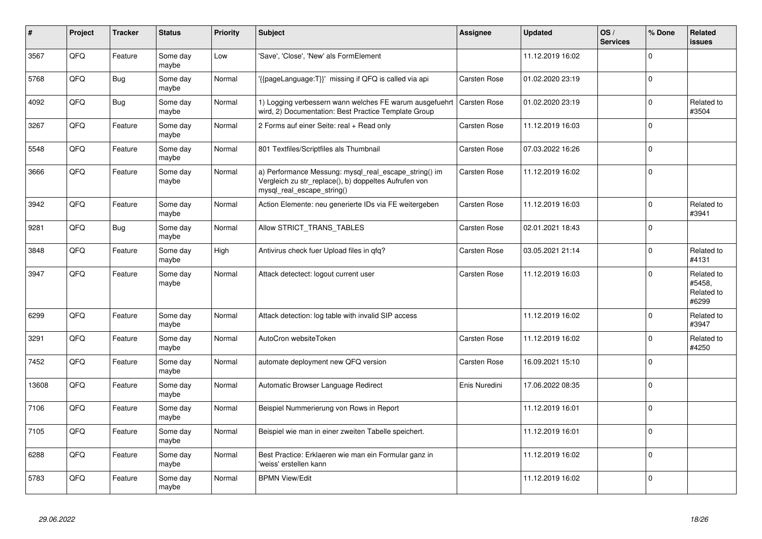| #     | Project | <b>Tracker</b> | <b>Status</b>     | <b>Priority</b> | <b>Subject</b>                                                                                                                               | <b>Assignee</b>     | <b>Updated</b>   | OS/<br><b>Services</b> | % Done      | Related<br><b>issues</b>                    |
|-------|---------|----------------|-------------------|-----------------|----------------------------------------------------------------------------------------------------------------------------------------------|---------------------|------------------|------------------------|-------------|---------------------------------------------|
| 3567  | QFQ     | Feature        | Some day<br>maybe | Low             | 'Save', 'Close', 'New' als FormElement                                                                                                       |                     | 11.12.2019 16:02 |                        | $\mathbf 0$ |                                             |
| 5768  | QFQ     | Bug            | Some day<br>maybe | Normal          | '{{pageLanguage:T}}' missing if QFQ is called via api                                                                                        | Carsten Rose        | 01.02.2020 23:19 |                        | $\mathbf 0$ |                                             |
| 4092  | QFQ     | <b>Bug</b>     | Some day<br>maybe | Normal          | 1) Logging verbessern wann welches FE warum ausgefuehrt<br>wird, 2) Documentation: Best Practice Template Group                              | Carsten Rose        | 01.02.2020 23:19 |                        | $\mathbf 0$ | Related to<br>#3504                         |
| 3267  | QFQ     | Feature        | Some day<br>maybe | Normal          | 2 Forms auf einer Seite: real + Read only                                                                                                    | Carsten Rose        | 11.12.2019 16:03 |                        | $\mathbf 0$ |                                             |
| 5548  | QFQ     | Feature        | Some day<br>maybe | Normal          | 801 Textfiles/Scriptfiles als Thumbnail                                                                                                      | Carsten Rose        | 07.03.2022 16:26 |                        | $\pmb{0}$   |                                             |
| 3666  | QFQ     | Feature        | Some day<br>maybe | Normal          | a) Performance Messung: mysql real escape string() im<br>Vergleich zu str_replace(), b) doppeltes Aufrufen von<br>mysql real escape string() | <b>Carsten Rose</b> | 11.12.2019 16:02 |                        | $\mathbf 0$ |                                             |
| 3942  | QFQ     | Feature        | Some day<br>maybe | Normal          | Action Elemente: neu generierte IDs via FE weitergeben                                                                                       | Carsten Rose        | 11.12.2019 16:03 |                        | $\mathbf 0$ | Related to<br>#3941                         |
| 9281  | QFQ     | <b>Bug</b>     | Some day<br>maybe | Normal          | Allow STRICT TRANS TABLES                                                                                                                    | <b>Carsten Rose</b> | 02.01.2021 18:43 |                        | $\mathbf 0$ |                                             |
| 3848  | QFQ     | Feature        | Some day<br>maybe | High            | Antivirus check fuer Upload files in qfq?                                                                                                    | <b>Carsten Rose</b> | 03.05.2021 21:14 |                        | $\mathbf 0$ | Related to<br>#4131                         |
| 3947  | QFQ     | Feature        | Some day<br>maybe | Normal          | Attack detectect: logout current user                                                                                                        | <b>Carsten Rose</b> | 11.12.2019 16:03 |                        | $\mathbf 0$ | Related to<br>#5458.<br>Related to<br>#6299 |
| 6299  | QFQ     | Feature        | Some day<br>maybe | Normal          | Attack detection: log table with invalid SIP access                                                                                          |                     | 11.12.2019 16:02 |                        | $\mathbf 0$ | Related to<br>#3947                         |
| 3291  | QFQ     | Feature        | Some day<br>maybe | Normal          | AutoCron websiteToken                                                                                                                        | Carsten Rose        | 11.12.2019 16:02 |                        | $\mathbf 0$ | Related to<br>#4250                         |
| 7452  | QFQ     | Feature        | Some day<br>maybe | Normal          | automate deployment new QFQ version                                                                                                          | <b>Carsten Rose</b> | 16.09.2021 15:10 |                        | $\mathbf 0$ |                                             |
| 13608 | QFQ     | Feature        | Some day<br>maybe | Normal          | Automatic Browser Language Redirect                                                                                                          | Enis Nuredini       | 17.06.2022 08:35 |                        | $\mathbf 0$ |                                             |
| 7106  | QFQ     | Feature        | Some day<br>maybe | Normal          | Beispiel Nummerierung von Rows in Report                                                                                                     |                     | 11.12.2019 16:01 |                        | $\Omega$    |                                             |
| 7105  | QFQ     | Feature        | Some day<br>maybe | Normal          | Beispiel wie man in einer zweiten Tabelle speichert.                                                                                         |                     | 11.12.2019 16:01 |                        | $\mathbf 0$ |                                             |
| 6288  | QFQ     | Feature        | Some day<br>maybe | Normal          | Best Practice: Erklaeren wie man ein Formular ganz in<br>'weiss' erstellen kann                                                              |                     | 11.12.2019 16:02 |                        | $\pmb{0}$   |                                             |
| 5783  | QFQ     | Feature        | Some day<br>maybe | Normal          | <b>BPMN View/Edit</b>                                                                                                                        |                     | 11.12.2019 16:02 |                        | $\mathbf 0$ |                                             |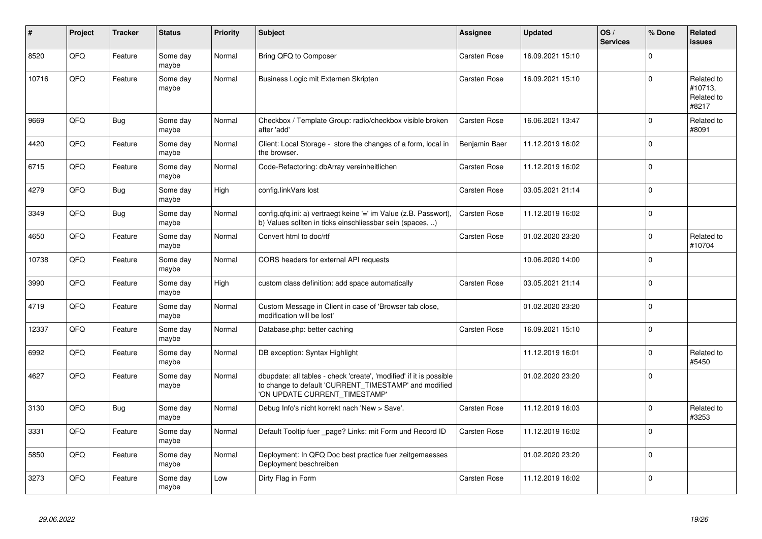| ∦     | Project | <b>Tracker</b> | <b>Status</b>     | <b>Priority</b> | <b>Subject</b>                                                                                                                                                | Assignee            | <b>Updated</b>   | OS/<br><b>Services</b> | % Done      | <b>Related</b><br><b>issues</b>              |
|-------|---------|----------------|-------------------|-----------------|---------------------------------------------------------------------------------------------------------------------------------------------------------------|---------------------|------------------|------------------------|-------------|----------------------------------------------|
| 8520  | QFQ     | Feature        | Some day<br>maybe | Normal          | Bring QFQ to Composer                                                                                                                                         | Carsten Rose        | 16.09.2021 15:10 |                        | $\Omega$    |                                              |
| 10716 | QFQ     | Feature        | Some day<br>maybe | Normal          | Business Logic mit Externen Skripten                                                                                                                          | Carsten Rose        | 16.09.2021 15:10 |                        | $\Omega$    | Related to<br>#10713,<br>Related to<br>#8217 |
| 9669  | QFQ     | Bug            | Some day<br>maybe | Normal          | Checkbox / Template Group: radio/checkbox visible broken<br>after 'add'                                                                                       | Carsten Rose        | 16.06.2021 13:47 |                        | $\Omega$    | Related to<br>#8091                          |
| 4420  | QFQ     | Feature        | Some day<br>maybe | Normal          | Client: Local Storage - store the changes of a form, local in<br>the browser.                                                                                 | Benjamin Baer       | 11.12.2019 16:02 |                        | $\mathbf 0$ |                                              |
| 6715  | QFQ     | Feature        | Some day<br>maybe | Normal          | Code-Refactoring: dbArray vereinheitlichen                                                                                                                    | Carsten Rose        | 11.12.2019 16:02 |                        | $\mathbf 0$ |                                              |
| 4279  | QFQ     | Bug            | Some day<br>maybe | High            | config.linkVars lost                                                                                                                                          | Carsten Rose        | 03.05.2021 21:14 |                        | $\mathbf 0$ |                                              |
| 3349  | QFQ     | Bug            | Some day<br>maybe | Normal          | config.qfq.ini: a) vertraegt keine '=' im Value (z.B. Passwort),<br>b) Values sollten in ticks einschliessbar sein (spaces, )                                 | Carsten Rose        | 11.12.2019 16:02 |                        | $\mathbf 0$ |                                              |
| 4650  | QFQ     | Feature        | Some day<br>maybe | Normal          | Convert html to doc/rtf                                                                                                                                       | <b>Carsten Rose</b> | 01.02.2020 23:20 |                        | $\mathbf 0$ | Related to<br>#10704                         |
| 10738 | QFQ     | Feature        | Some day<br>maybe | Normal          | CORS headers for external API requests                                                                                                                        |                     | 10.06.2020 14:00 |                        | $\mathbf 0$ |                                              |
| 3990  | QFQ     | Feature        | Some day<br>maybe | High            | custom class definition: add space automatically                                                                                                              | Carsten Rose        | 03.05.2021 21:14 |                        | $\Omega$    |                                              |
| 4719  | QFQ     | Feature        | Some day<br>maybe | Normal          | Custom Message in Client in case of 'Browser tab close,<br>modification will be lost'                                                                         |                     | 01.02.2020 23:20 |                        | $\mathbf 0$ |                                              |
| 12337 | QFQ     | Feature        | Some day<br>maybe | Normal          | Database.php: better caching                                                                                                                                  | Carsten Rose        | 16.09.2021 15:10 |                        | $\mathbf 0$ |                                              |
| 6992  | QFQ     | Feature        | Some day<br>maybe | Normal          | DB exception: Syntax Highlight                                                                                                                                |                     | 11.12.2019 16:01 |                        | $\mathbf 0$ | Related to<br>#5450                          |
| 4627  | QFQ     | Feature        | Some day<br>maybe | Normal          | dbupdate: all tables - check 'create', 'modified' if it is possible<br>to change to default 'CURRENT_TIMESTAMP' and modified<br>'ON UPDATE CURRENT_TIMESTAMP' |                     | 01.02.2020 23:20 |                        | $\mathbf 0$ |                                              |
| 3130  | QFQ     | Bug            | Some day<br>maybe | Normal          | Debug Info's nicht korrekt nach 'New > Save'.                                                                                                                 | Carsten Rose        | 11.12.2019 16:03 |                        | $\Omega$    | Related to<br>#3253                          |
| 3331  | QFQ     | Feature        | Some day<br>maybe | Normal          | Default Tooltip fuer _page? Links: mit Form und Record ID                                                                                                     | <b>Carsten Rose</b> | 11.12.2019 16:02 |                        | $\Omega$    |                                              |
| 5850  | QFQ     | Feature        | Some day<br>maybe | Normal          | Deployment: In QFQ Doc best practice fuer zeitgemaesses<br>Deployment beschreiben                                                                             |                     | 01.02.2020 23:20 |                        | $\Omega$    |                                              |
| 3273  | QFQ     | Feature        | Some day<br>maybe | Low             | Dirty Flag in Form                                                                                                                                            | Carsten Rose        | 11.12.2019 16:02 |                        | $\Omega$    |                                              |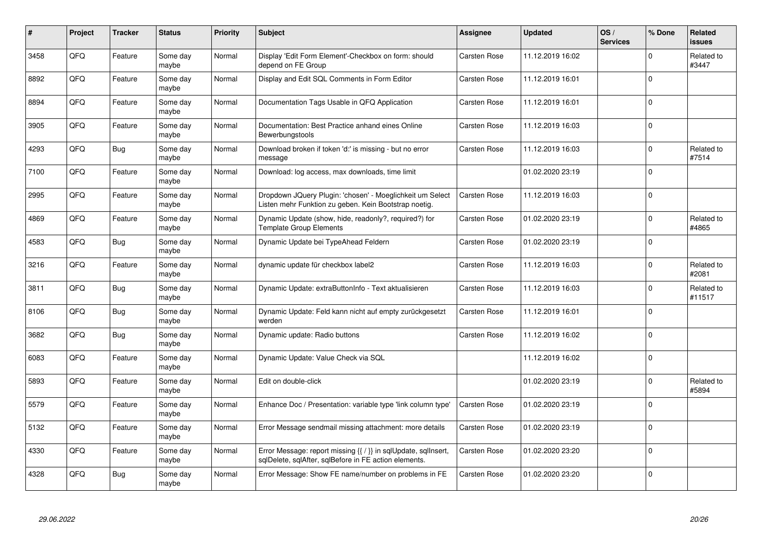| #    | <b>Project</b> | <b>Tracker</b> | <b>Status</b>     | <b>Priority</b> | <b>Subject</b>                                                                                                          | Assignee            | <b>Updated</b>   | OS/<br><b>Services</b> | % Done      | <b>Related</b><br><b>issues</b> |
|------|----------------|----------------|-------------------|-----------------|-------------------------------------------------------------------------------------------------------------------------|---------------------|------------------|------------------------|-------------|---------------------------------|
| 3458 | QFQ            | Feature        | Some day<br>maybe | Normal          | Display 'Edit Form Element'-Checkbox on form: should<br>depend on FE Group                                              | <b>Carsten Rose</b> | 11.12.2019 16:02 |                        | $\Omega$    | Related to<br>#3447             |
| 8892 | QFQ            | Feature        | Some dav<br>maybe | Normal          | Display and Edit SQL Comments in Form Editor                                                                            | <b>Carsten Rose</b> | 11.12.2019 16:01 |                        | $\Omega$    |                                 |
| 8894 | QFQ            | Feature        | Some day<br>maybe | Normal          | Documentation Tags Usable in QFQ Application                                                                            | <b>Carsten Rose</b> | 11.12.2019 16:01 |                        | $\mathbf 0$ |                                 |
| 3905 | QFQ            | Feature        | Some day<br>maybe | Normal          | Documentation: Best Practice anhand eines Online<br>Bewerbungstools                                                     | Carsten Rose        | 11.12.2019 16:03 |                        | $\Omega$    |                                 |
| 4293 | QFQ            | <b>Bug</b>     | Some day<br>maybe | Normal          | Download broken if token 'd:' is missing - but no error<br>message                                                      | <b>Carsten Rose</b> | 11.12.2019 16:03 |                        | $\Omega$    | Related to<br>#7514             |
| 7100 | QFQ            | Feature        | Some dav<br>maybe | Normal          | Download: log access, max downloads, time limit                                                                         |                     | 01.02.2020 23:19 |                        | $\Omega$    |                                 |
| 2995 | QFQ            | Feature        | Some day<br>maybe | Normal          | Dropdown JQuery Plugin: 'chosen' - Moeglichkeit um Select<br>Listen mehr Funktion zu geben. Kein Bootstrap noetig.      | <b>Carsten Rose</b> | 11.12.2019 16:03 |                        | $\mathbf 0$ |                                 |
| 4869 | QFQ            | Feature        | Some day<br>maybe | Normal          | Dynamic Update (show, hide, readonly?, required?) for<br><b>Template Group Elements</b>                                 | <b>Carsten Rose</b> | 01.02.2020 23:19 |                        | $\Omega$    | Related to<br>#4865             |
| 4583 | QFQ            | <b>Bug</b>     | Some day<br>maybe | Normal          | Dynamic Update bei TypeAhead Feldern                                                                                    | <b>Carsten Rose</b> | 01.02.2020 23:19 |                        | $\Omega$    |                                 |
| 3216 | QFQ            | Feature        | Some dav<br>maybe | Normal          | dynamic update für checkbox label2                                                                                      | <b>Carsten Rose</b> | 11.12.2019 16:03 |                        | $\Omega$    | Related to<br>#2081             |
| 3811 | QFQ            | Bug            | Some day<br>maybe | Normal          | Dynamic Update: extraButtonInfo - Text aktualisieren                                                                    | <b>Carsten Rose</b> | 11.12.2019 16:03 |                        | $\mathbf 0$ | Related to<br>#11517            |
| 8106 | QFQ            | <b>Bug</b>     | Some day<br>maybe | Normal          | Dynamic Update: Feld kann nicht auf empty zurückgesetzt<br>werden                                                       | <b>Carsten Rose</b> | 11.12.2019 16:01 |                        | $\mathbf 0$ |                                 |
| 3682 | QFQ            | <b>Bug</b>     | Some day<br>maybe | Normal          | Dynamic update: Radio buttons                                                                                           | Carsten Rose        | 11.12.2019 16:02 |                        | $\mathbf 0$ |                                 |
| 6083 | QFQ            | Feature        | Some day<br>maybe | Normal          | Dynamic Update: Value Check via SQL                                                                                     |                     | 11.12.2019 16:02 |                        | $\mathbf 0$ |                                 |
| 5893 | QFQ            | Feature        | Some day<br>maybe | Normal          | Edit on double-click                                                                                                    |                     | 01.02.2020 23:19 |                        | $\Omega$    | Related to<br>#5894             |
| 5579 | QFQ            | Feature        | Some day<br>maybe | Normal          | Enhance Doc / Presentation: variable type 'link column type'                                                            | <b>Carsten Rose</b> | 01.02.2020 23:19 |                        | $\Omega$    |                                 |
| 5132 | QFQ            | Feature        | Some day<br>maybe | Normal          | Error Message sendmail missing attachment: more details                                                                 | <b>Carsten Rose</b> | 01.02.2020 23:19 |                        | $\Omega$    |                                 |
| 4330 | QFQ            | Feature        | Some day<br>maybe | Normal          | Error Message: report missing {{ / }} in sqlUpdate, sqlInsert,<br>sqlDelete, sqlAfter, sqlBefore in FE action elements. | Carsten Rose        | 01.02.2020 23:20 |                        | $\Omega$    |                                 |
| 4328 | QFQ            | Bug            | Some day<br>maybe | Normal          | Error Message: Show FE name/number on problems in FE                                                                    | Carsten Rose        | 01.02.2020 23:20 |                        | $\Omega$    |                                 |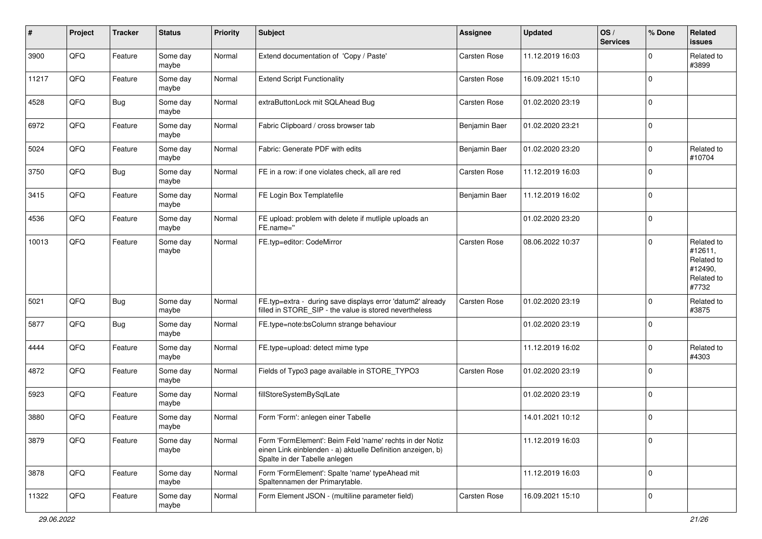| $\sharp$ | Project | <b>Tracker</b> | <b>Status</b>     | <b>Priority</b> | <b>Subject</b>                                                                                                                                           | Assignee            | <b>Updated</b>   | OS/<br><b>Services</b> | % Done      | <b>Related</b><br><b>issues</b>                                       |
|----------|---------|----------------|-------------------|-----------------|----------------------------------------------------------------------------------------------------------------------------------------------------------|---------------------|------------------|------------------------|-------------|-----------------------------------------------------------------------|
| 3900     | QFQ     | Feature        | Some day<br>maybe | Normal          | Extend documentation of 'Copy / Paste'                                                                                                                   | Carsten Rose        | 11.12.2019 16:03 |                        | $\Omega$    | Related to<br>#3899                                                   |
| 11217    | QFQ     | Feature        | Some day<br>maybe | Normal          | <b>Extend Script Functionality</b>                                                                                                                       | <b>Carsten Rose</b> | 16.09.2021 15:10 |                        | $\mathbf 0$ |                                                                       |
| 4528     | QFQ     | <b>Bug</b>     | Some day<br>maybe | Normal          | extraButtonLock mit SQLAhead Bug                                                                                                                         | Carsten Rose        | 01.02.2020 23:19 |                        | $\mathbf 0$ |                                                                       |
| 6972     | QFQ     | Feature        | Some day<br>maybe | Normal          | Fabric Clipboard / cross browser tab                                                                                                                     | Benjamin Baer       | 01.02.2020 23:21 |                        | $\mathbf 0$ |                                                                       |
| 5024     | QFQ     | Feature        | Some day<br>maybe | Normal          | Fabric: Generate PDF with edits                                                                                                                          | Benjamin Baer       | 01.02.2020 23:20 |                        | $\mathbf 0$ | Related to<br>#10704                                                  |
| 3750     | QFQ     | Bug            | Some day<br>maybe | Normal          | FE in a row: if one violates check, all are red                                                                                                          | Carsten Rose        | 11.12.2019 16:03 |                        | $\Omega$    |                                                                       |
| 3415     | QFQ     | Feature        | Some day<br>maybe | Normal          | FE Login Box Templatefile                                                                                                                                | Benjamin Baer       | 11.12.2019 16:02 |                        | $\mathbf 0$ |                                                                       |
| 4536     | QFQ     | Feature        | Some day<br>maybe | Normal          | FE upload: problem with delete if mutliple uploads an<br>FE.name="                                                                                       |                     | 01.02.2020 23:20 |                        | $\mathbf 0$ |                                                                       |
| 10013    | QFQ     | Feature        | Some day<br>maybe | Normal          | FE.typ=editor: CodeMirror                                                                                                                                | <b>Carsten Rose</b> | 08.06.2022 10:37 |                        | $\mathbf 0$ | Related to<br>#12611,<br>Related to<br>#12490,<br>Related to<br>#7732 |
| 5021     | QFQ     | <b>Bug</b>     | Some day<br>maybe | Normal          | FE.typ=extra - during save displays error 'datum2' already<br>filled in STORE_SIP - the value is stored nevertheless                                     | <b>Carsten Rose</b> | 01.02.2020 23:19 |                        | $\mathbf 0$ | Related to<br>#3875                                                   |
| 5877     | QFQ     | Bug            | Some day<br>maybe | Normal          | FE.type=note:bsColumn strange behaviour                                                                                                                  |                     | 01.02.2020 23:19 |                        | $\Omega$    |                                                                       |
| 4444     | QFQ     | Feature        | Some day<br>maybe | Normal          | FE.type=upload: detect mime type                                                                                                                         |                     | 11.12.2019 16:02 |                        | $\mathbf 0$ | Related to<br>#4303                                                   |
| 4872     | QFQ     | Feature        | Some day<br>maybe | Normal          | Fields of Typo3 page available in STORE_TYPO3                                                                                                            | Carsten Rose        | 01.02.2020 23:19 |                        | $\mathbf 0$ |                                                                       |
| 5923     | QFQ     | Feature        | Some day<br>maybe | Normal          | fillStoreSystemBySqlLate                                                                                                                                 |                     | 01.02.2020 23:19 |                        | $\mathbf 0$ |                                                                       |
| 3880     | QFQ     | Feature        | Some day<br>maybe | Normal          | Form 'Form': anlegen einer Tabelle                                                                                                                       |                     | 14.01.2021 10:12 |                        | $\mathbf 0$ |                                                                       |
| 3879     | QFQ     | Feature        | Some day<br>maybe | Normal          | Form 'FormElement': Beim Feld 'name' rechts in der Notiz<br>einen Link einblenden - a) aktuelle Definition anzeigen, b)<br>Spalte in der Tabelle anlegen |                     | 11.12.2019 16:03 |                        | $\mathbf 0$ |                                                                       |
| 3878     | QFQ     | Feature        | Some day<br>maybe | Normal          | Form 'FormElement': Spalte 'name' typeAhead mit<br>Spaltennamen der Primarytable.                                                                        |                     | 11.12.2019 16:03 |                        | $\mathbf 0$ |                                                                       |
| 11322    | QFQ     | Feature        | Some day<br>maybe | Normal          | Form Element JSON - (multiline parameter field)                                                                                                          | Carsten Rose        | 16.09.2021 15:10 |                        | $\mathbf 0$ |                                                                       |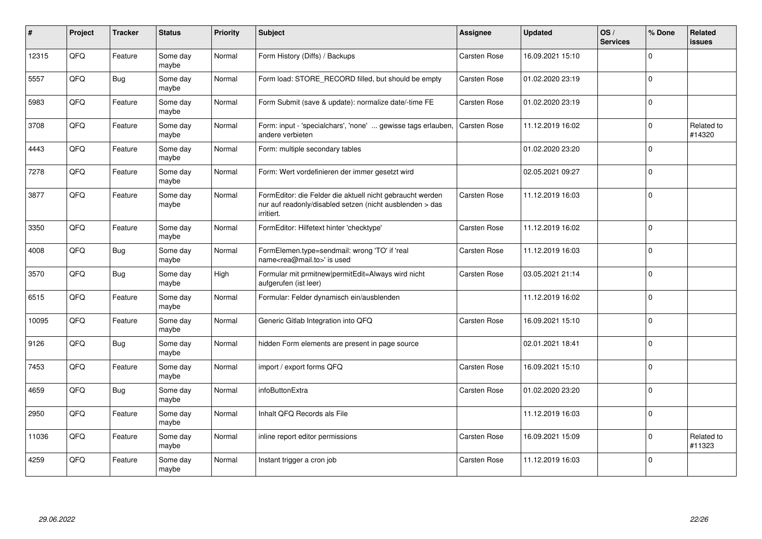| #     | Project | <b>Tracker</b> | <b>Status</b>     | <b>Priority</b> | <b>Subject</b>                                                                                                                      | Assignee            | <b>Updated</b>   | OS/<br><b>Services</b> | % Done      | <b>Related</b><br><b>issues</b> |
|-------|---------|----------------|-------------------|-----------------|-------------------------------------------------------------------------------------------------------------------------------------|---------------------|------------------|------------------------|-------------|---------------------------------|
| 12315 | QFQ     | Feature        | Some day<br>maybe | Normal          | Form History (Diffs) / Backups                                                                                                      | Carsten Rose        | 16.09.2021 15:10 |                        | $\Omega$    |                                 |
| 5557  | QFQ     | <b>Bug</b>     | Some day<br>maybe | Normal          | Form load: STORE RECORD filled, but should be empty                                                                                 | Carsten Rose        | 01.02.2020 23:19 |                        | $\mathbf 0$ |                                 |
| 5983  | QFQ     | Feature        | Some day<br>maybe | Normal          | Form Submit (save & update): normalize date/-time FE                                                                                | <b>Carsten Rose</b> | 01.02.2020 23:19 |                        | $\Omega$    |                                 |
| 3708  | QFQ     | Feature        | Some day<br>maybe | Normal          | Form: input - 'specialchars', 'none'  gewisse tags erlauben,<br>andere verbieten                                                    | Carsten Rose        | 11.12.2019 16:02 |                        | $\Omega$    | Related to<br>#14320            |
| 4443  | QFQ     | Feature        | Some day<br>maybe | Normal          | Form: multiple secondary tables                                                                                                     |                     | 01.02.2020 23:20 |                        | $\mathbf 0$ |                                 |
| 7278  | QFQ     | Feature        | Some day<br>maybe | Normal          | Form: Wert vordefinieren der immer gesetzt wird                                                                                     |                     | 02.05.2021 09:27 |                        | $\mathbf 0$ |                                 |
| 3877  | QFQ     | Feature        | Some day<br>maybe | Normal          | FormEditor: die Felder die aktuell nicht gebraucht werden<br>nur auf readonly/disabled setzen (nicht ausblenden > das<br>irritiert. | Carsten Rose        | 11.12.2019 16:03 |                        | $\Omega$    |                                 |
| 3350  | QFQ     | Feature        | Some day<br>maybe | Normal          | FormEditor: Hilfetext hinter 'checktype'                                                                                            | Carsten Rose        | 11.12.2019 16:02 |                        | $\mathbf 0$ |                                 |
| 4008  | QFQ     | <b>Bug</b>     | Some day<br>maybe | Normal          | FormElemen.type=sendmail: wrong 'TO' if 'real<br>name <rea@mail.to>' is used</rea@mail.to>                                          | Carsten Rose        | 11.12.2019 16:03 |                        | $\mathbf 0$ |                                 |
| 3570  | QFQ     | <b>Bug</b>     | Some day<br>maybe | High            | Formular mit prmitnew permitEdit=Always wird nicht<br>aufgerufen (ist leer)                                                         | Carsten Rose        | 03.05.2021 21:14 |                        | $\mathbf 0$ |                                 |
| 6515  | QFQ     | Feature        | Some day<br>maybe | Normal          | Formular: Felder dynamisch ein/ausblenden                                                                                           |                     | 11.12.2019 16:02 |                        | $\Omega$    |                                 |
| 10095 | QFQ     | Feature        | Some day<br>maybe | Normal          | Generic Gitlab Integration into QFQ                                                                                                 | <b>Carsten Rose</b> | 16.09.2021 15:10 |                        | $\Omega$    |                                 |
| 9126  | QFQ     | <b>Bug</b>     | Some day<br>maybe | Normal          | hidden Form elements are present in page source                                                                                     |                     | 02.01.2021 18:41 |                        | $\Omega$    |                                 |
| 7453  | QFQ     | Feature        | Some day<br>maybe | Normal          | import / export forms QFQ                                                                                                           | Carsten Rose        | 16.09.2021 15:10 |                        | $\Omega$    |                                 |
| 4659  | QFQ     | <b>Bug</b>     | Some day<br>maybe | Normal          | infoButtonExtra                                                                                                                     | Carsten Rose        | 01.02.2020 23:20 |                        | $\mathbf 0$ |                                 |
| 2950  | QFQ     | Feature        | Some dav<br>maybe | Normal          | Inhalt QFQ Records als File                                                                                                         |                     | 11.12.2019 16:03 |                        | $\mathbf 0$ |                                 |
| 11036 | QFQ     | Feature        | Some day<br>maybe | Normal          | inline report editor permissions                                                                                                    | Carsten Rose        | 16.09.2021 15:09 |                        | $\Omega$    | Related to<br>#11323            |
| 4259  | QFQ     | Feature        | Some day<br>maybe | Normal          | Instant trigger a cron job                                                                                                          | Carsten Rose        | 11.12.2019 16:03 |                        | $\mathbf 0$ |                                 |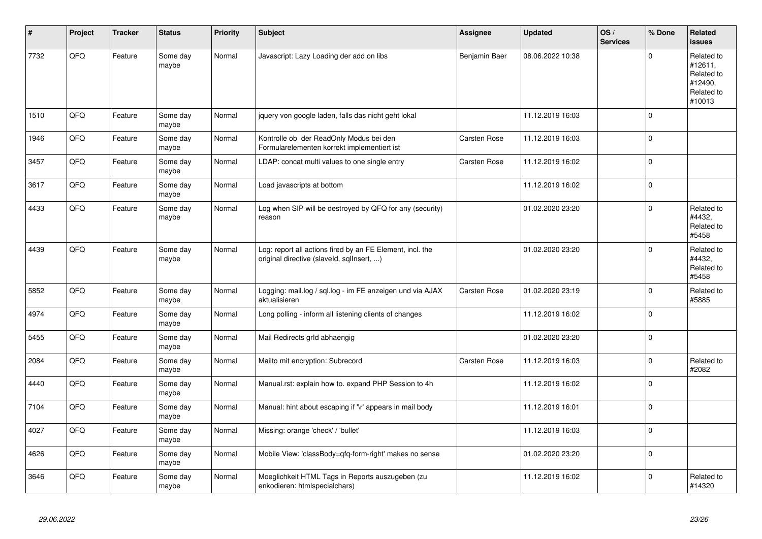| ∦    | Project | <b>Tracker</b> | <b>Status</b>     | <b>Priority</b> | <b>Subject</b>                                                                                         | <b>Assignee</b>     | <b>Updated</b>   | OS/<br><b>Services</b> | % Done      | Related<br><b>issues</b>                                               |
|------|---------|----------------|-------------------|-----------------|--------------------------------------------------------------------------------------------------------|---------------------|------------------|------------------------|-------------|------------------------------------------------------------------------|
| 7732 | QFQ     | Feature        | Some day<br>maybe | Normal          | Javascript: Lazy Loading der add on libs                                                               | Benjamin Baer       | 08.06.2022 10:38 |                        | $\Omega$    | Related to<br>#12611,<br>Related to<br>#12490,<br>Related to<br>#10013 |
| 1510 | QFQ     | Feature        | Some day<br>maybe | Normal          | jquery von google laden, falls das nicht geht lokal                                                    |                     | 11.12.2019 16:03 |                        | $\pmb{0}$   |                                                                        |
| 1946 | QFQ     | Feature        | Some day<br>maybe | Normal          | Kontrolle ob der ReadOnly Modus bei den<br>Formularelementen korrekt implementiert ist                 | <b>Carsten Rose</b> | 11.12.2019 16:03 |                        | $\mathbf 0$ |                                                                        |
| 3457 | QFQ     | Feature        | Some day<br>maybe | Normal          | LDAP: concat multi values to one single entry                                                          | Carsten Rose        | 11.12.2019 16:02 |                        | $\mathbf 0$ |                                                                        |
| 3617 | QFQ     | Feature        | Some day<br>maybe | Normal          | Load javascripts at bottom                                                                             |                     | 11.12.2019 16:02 |                        | $\mathbf 0$ |                                                                        |
| 4433 | QFQ     | Feature        | Some day<br>maybe | Normal          | Log when SIP will be destroyed by QFQ for any (security)<br>reason                                     |                     | 01.02.2020 23:20 |                        | $\mathbf 0$ | Related to<br>#4432,<br>Related to<br>#5458                            |
| 4439 | QFQ     | Feature        | Some day<br>maybe | Normal          | Log: report all actions fired by an FE Element, incl. the<br>original directive (slaveld, sqllnsert, ) |                     | 01.02.2020 23:20 |                        | $\mathbf 0$ | Related to<br>#4432,<br>Related to<br>#5458                            |
| 5852 | QFQ     | Feature        | Some day<br>maybe | Normal          | Logging: mail.log / sql.log - im FE anzeigen und via AJAX<br>aktualisieren                             | <b>Carsten Rose</b> | 01.02.2020 23:19 |                        | $\pmb{0}$   | Related to<br>#5885                                                    |
| 4974 | QFQ     | Feature        | Some day<br>maybe | Normal          | Long polling - inform all listening clients of changes                                                 |                     | 11.12.2019 16:02 |                        | $\mathbf 0$ |                                                                        |
| 5455 | QFQ     | Feature        | Some day<br>maybe | Normal          | Mail Redirects grld abhaengig                                                                          |                     | 01.02.2020 23:20 |                        | $\mathbf 0$ |                                                                        |
| 2084 | QFQ     | Feature        | Some day<br>maybe | Normal          | Mailto mit encryption: Subrecord                                                                       | <b>Carsten Rose</b> | 11.12.2019 16:03 |                        | $\mathbf 0$ | Related to<br>#2082                                                    |
| 4440 | QFQ     | Feature        | Some day<br>maybe | Normal          | Manual.rst: explain how to. expand PHP Session to 4h                                                   |                     | 11.12.2019 16:02 |                        | $\mathbf 0$ |                                                                        |
| 7104 | QFQ     | Feature        | Some day<br>maybe | Normal          | Manual: hint about escaping if '\r' appears in mail body                                               |                     | 11.12.2019 16:01 |                        | $\mathbf 0$ |                                                                        |
| 4027 | QFQ     | Feature        | Some day<br>maybe | Normal          | Missing: orange 'check' / 'bullet'                                                                     |                     | 11.12.2019 16:03 |                        | $\mathbf 0$ |                                                                        |
| 4626 | QFQ     | Feature        | Some day<br>maybe | Normal          | Mobile View: 'classBody=qfq-form-right' makes no sense                                                 |                     | 01.02.2020 23:20 |                        | $\pmb{0}$   |                                                                        |
| 3646 | QFQ     | Feature        | Some day<br>maybe | Normal          | Moeglichkeit HTML Tags in Reports auszugeben (zu<br>enkodieren: htmlspecialchars)                      |                     | 11.12.2019 16:02 |                        | $\mathbf 0$ | Related to<br>#14320                                                   |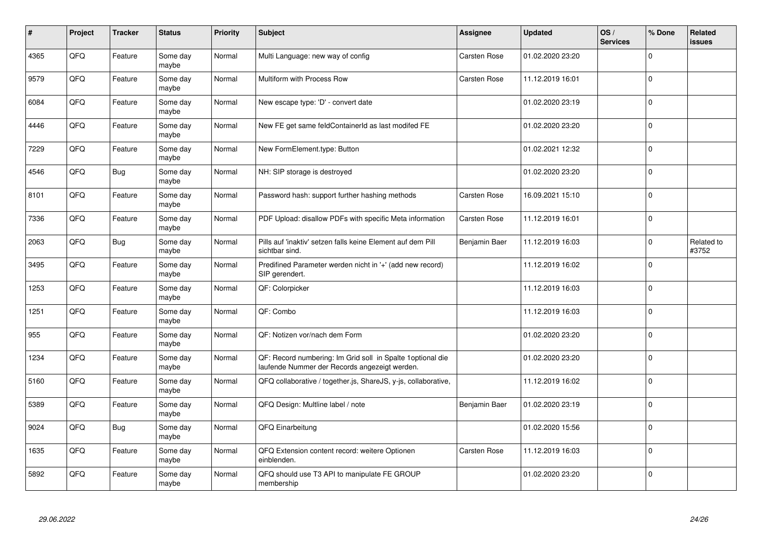| $\vert$ # | Project | <b>Tracker</b> | <b>Status</b>     | <b>Priority</b> | <b>Subject</b>                                                                                               | Assignee            | <b>Updated</b>   | OS/<br><b>Services</b> | % Done      | <b>Related</b><br><b>issues</b> |
|-----------|---------|----------------|-------------------|-----------------|--------------------------------------------------------------------------------------------------------------|---------------------|------------------|------------------------|-------------|---------------------------------|
| 4365      | QFQ     | Feature        | Some day<br>maybe | Normal          | Multi Language: new way of config                                                                            | <b>Carsten Rose</b> | 01.02.2020 23:20 |                        | $\Omega$    |                                 |
| 9579      | QFQ     | Feature        | Some day<br>maybe | Normal          | Multiform with Process Row                                                                                   | <b>Carsten Rose</b> | 11.12.2019 16:01 |                        | $\Omega$    |                                 |
| 6084      | QFQ     | Feature        | Some day<br>maybe | Normal          | New escape type: 'D' - convert date                                                                          |                     | 01.02.2020 23:19 |                        | $\mathbf 0$ |                                 |
| 4446      | QFQ     | Feature        | Some day<br>maybe | Normal          | New FE get same feldContainerId as last modifed FE                                                           |                     | 01.02.2020 23:20 |                        | $\mathbf 0$ |                                 |
| 7229      | QFQ     | Feature        | Some day<br>maybe | Normal          | New FormElement.type: Button                                                                                 |                     | 01.02.2021 12:32 |                        | $\mathbf 0$ |                                 |
| 4546      | QFQ     | <b>Bug</b>     | Some dav<br>maybe | Normal          | NH: SIP storage is destroyed                                                                                 |                     | 01.02.2020 23:20 |                        | $\mathbf 0$ |                                 |
| 8101      | QFQ     | Feature        | Some day<br>maybe | Normal          | Password hash: support further hashing methods                                                               | Carsten Rose        | 16.09.2021 15:10 |                        | $\mathbf 0$ |                                 |
| 7336      | QFQ     | Feature        | Some day<br>maybe | Normal          | PDF Upload: disallow PDFs with specific Meta information                                                     | <b>Carsten Rose</b> | 11.12.2019 16:01 |                        | $\Omega$    |                                 |
| 2063      | QFQ     | <b>Bug</b>     | Some day<br>maybe | Normal          | Pills auf 'inaktiv' setzen falls keine Element auf dem Pill<br>sichtbar sind.                                | Benjamin Baer       | 11.12.2019 16:03 |                        | $\Omega$    | Related to<br>#3752             |
| 3495      | QFQ     | Feature        | Some day<br>maybe | Normal          | Predifined Parameter werden nicht in '+' (add new record)<br>SIP gerendert.                                  |                     | 11.12.2019 16:02 |                        | $\mathbf 0$ |                                 |
| 1253      | QFQ     | Feature        | Some day<br>maybe | Normal          | QF: Colorpicker                                                                                              |                     | 11.12.2019 16:03 |                        | $\mathbf 0$ |                                 |
| 1251      | QFQ     | Feature        | Some day<br>maybe | Normal          | QF: Combo                                                                                                    |                     | 11.12.2019 16:03 |                        | $\mathbf 0$ |                                 |
| 955       | QFQ     | Feature        | Some day<br>maybe | Normal          | QF: Notizen vor/nach dem Form                                                                                |                     | 01.02.2020 23:20 |                        | $\mathbf 0$ |                                 |
| 1234      | QFQ     | Feature        | Some day<br>maybe | Normal          | QF: Record numbering: Im Grid soll in Spalte 1 optional die<br>laufende Nummer der Records angezeigt werden. |                     | 01.02.2020 23:20 |                        | $\mathbf 0$ |                                 |
| 5160      | QFQ     | Feature        | Some day<br>maybe | Normal          | QFQ collaborative / together.js, ShareJS, y-js, collaborative,                                               |                     | 11.12.2019 16:02 |                        | $\Omega$    |                                 |
| 5389      | QFQ     | Feature        | Some day<br>maybe | Normal          | QFQ Design: Multline label / note                                                                            | Benjamin Baer       | 01.02.2020 23:19 |                        | $\mathbf 0$ |                                 |
| 9024      | QFQ     | <b>Bug</b>     | Some day<br>maybe | Normal          | QFQ Einarbeitung                                                                                             |                     | 01.02.2020 15:56 |                        | $\Omega$    |                                 |
| 1635      | QFQ     | Feature        | Some day<br>maybe | Normal          | QFQ Extension content record: weitere Optionen<br>einblenden.                                                | Carsten Rose        | 11.12.2019 16:03 |                        | $\mathbf 0$ |                                 |
| 5892      | QFQ     | Feature        | Some day<br>maybe | Normal          | QFQ should use T3 API to manipulate FE GROUP<br>membership                                                   |                     | 01.02.2020 23:20 |                        | $\Omega$    |                                 |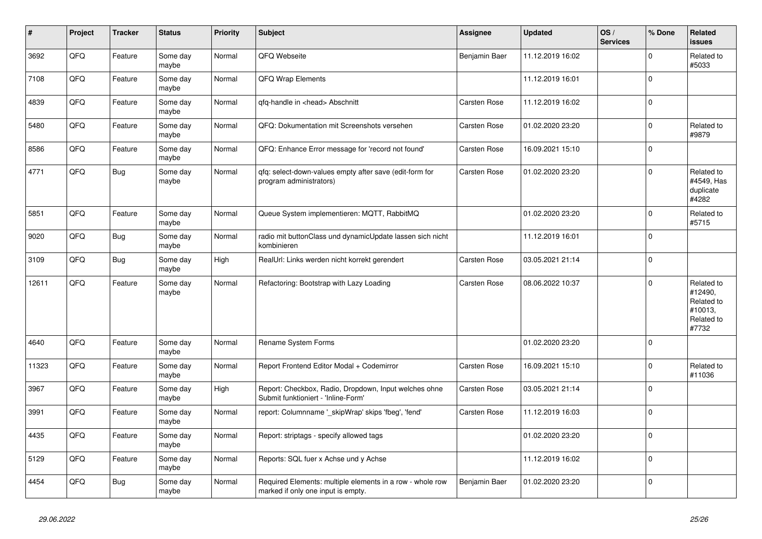| $\vert$ # | Project | <b>Tracker</b> | <b>Status</b>     | <b>Priority</b> | <b>Subject</b>                                                                                  | <b>Assignee</b> | <b>Updated</b>   | OS/<br><b>Services</b> | % Done      | Related<br><b>issues</b>                                              |
|-----------|---------|----------------|-------------------|-----------------|-------------------------------------------------------------------------------------------------|-----------------|------------------|------------------------|-------------|-----------------------------------------------------------------------|
| 3692      | QFQ     | Feature        | Some day<br>maybe | Normal          | QFQ Webseite                                                                                    | Benjamin Baer   | 11.12.2019 16:02 |                        | $\Omega$    | Related to<br>#5033                                                   |
| 7108      | QFQ     | Feature        | Some day<br>maybe | Normal          | QFQ Wrap Elements                                                                               |                 | 11.12.2019 16:01 |                        | $\mathbf 0$ |                                                                       |
| 4839      | QFQ     | Feature        | Some day<br>maybe | Normal          | qfq-handle in <head> Abschnitt</head>                                                           | Carsten Rose    | 11.12.2019 16:02 |                        | $\Omega$    |                                                                       |
| 5480      | QFQ     | Feature        | Some day<br>maybe | Normal          | QFQ: Dokumentation mit Screenshots versehen                                                     | Carsten Rose    | 01.02.2020 23:20 |                        | $\Omega$    | Related to<br>#9879                                                   |
| 8586      | QFQ     | Feature        | Some day<br>maybe | Normal          | QFQ: Enhance Error message for 'record not found'                                               | Carsten Rose    | 16.09.2021 15:10 |                        | $\mathbf 0$ |                                                                       |
| 4771      | QFQ     | Bug            | Some day<br>maybe | Normal          | qfq: select-down-values empty after save (edit-form for<br>program administrators)              | Carsten Rose    | 01.02.2020 23:20 |                        | $\Omega$    | Related to<br>#4549, Has<br>duplicate<br>#4282                        |
| 5851      | QFQ     | Feature        | Some day<br>maybe | Normal          | Queue System implementieren: MQTT, RabbitMQ                                                     |                 | 01.02.2020 23:20 |                        | $\Omega$    | Related to<br>#5715                                                   |
| 9020      | QFQ     | <b>Bug</b>     | Some day<br>maybe | Normal          | radio mit buttonClass und dynamicUpdate lassen sich nicht<br>kombinieren                        |                 | 11.12.2019 16:01 |                        | $\mathbf 0$ |                                                                       |
| 3109      | QFQ     | Bug            | Some day<br>maybe | High            | RealUrl: Links werden nicht korrekt gerendert                                                   | Carsten Rose    | 03.05.2021 21:14 |                        | $\Omega$    |                                                                       |
| 12611     | QFQ     | Feature        | Some day<br>maybe | Normal          | Refactoring: Bootstrap with Lazy Loading                                                        | Carsten Rose    | 08.06.2022 10:37 |                        | $\Omega$    | Related to<br>#12490,<br>Related to<br>#10013,<br>Related to<br>#7732 |
| 4640      | QFQ     | Feature        | Some day<br>maybe | Normal          | Rename System Forms                                                                             |                 | 01.02.2020 23:20 |                        | $\Omega$    |                                                                       |
| 11323     | QFQ     | Feature        | Some day<br>maybe | Normal          | Report Frontend Editor Modal + Codemirror                                                       | Carsten Rose    | 16.09.2021 15:10 |                        | $\Omega$    | Related to<br>#11036                                                  |
| 3967      | QFQ     | Feature        | Some day<br>maybe | High            | Report: Checkbox, Radio, Dropdown, Input welches ohne<br>Submit funktioniert - 'Inline-Form'    | Carsten Rose    | 03.05.2021 21:14 |                        | $\mathbf 0$ |                                                                       |
| 3991      | QFQ     | Feature        | Some day<br>maybe | Normal          | report: Columnname '_skipWrap' skips 'fbeg', 'fend'                                             | Carsten Rose    | 11.12.2019 16:03 |                        | $\Omega$    |                                                                       |
| 4435      | QFQ     | Feature        | Some day<br>maybe | Normal          | Report: striptags - specify allowed tags                                                        |                 | 01.02.2020 23:20 |                        | $\Omega$    |                                                                       |
| 5129      | QFQ     | Feature        | Some day<br>maybe | Normal          | Reports: SQL fuer x Achse und y Achse                                                           |                 | 11.12.2019 16:02 |                        | $\Omega$    |                                                                       |
| 4454      | QFQ     | <b>Bug</b>     | Some day<br>maybe | Normal          | Required Elements: multiple elements in a row - whole row<br>marked if only one input is empty. | Benjamin Baer   | 01.02.2020 23:20 |                        | $\Omega$    |                                                                       |